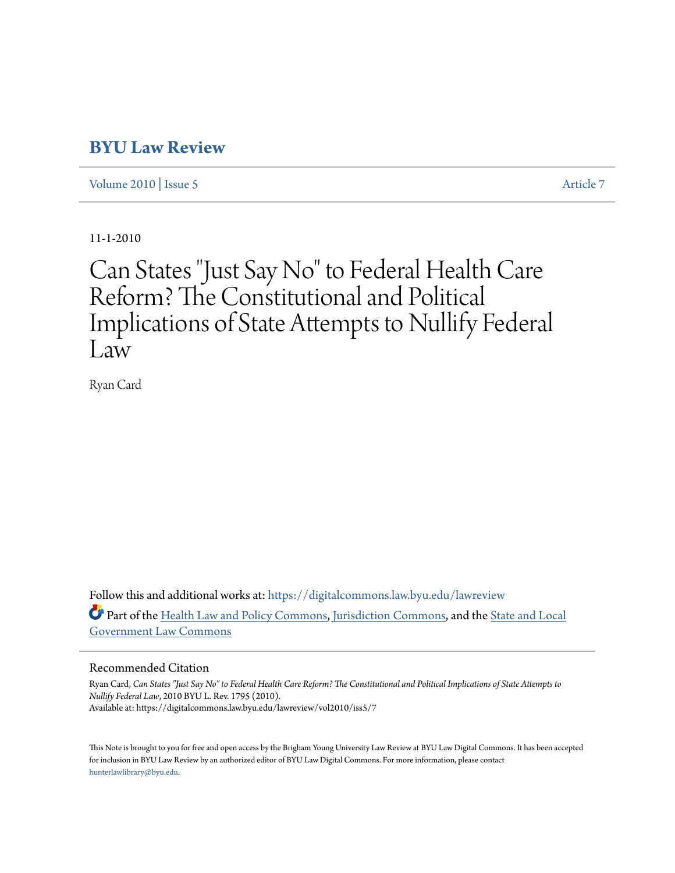# **[BYU Law Review](https://digitalcommons.law.byu.edu/lawreview?utm_source=digitalcommons.law.byu.edu%2Flawreview%2Fvol2010%2Fiss5%2F7&utm_medium=PDF&utm_campaign=PDFCoverPages)**

[Volume 2010](https://digitalcommons.law.byu.edu/lawreview/vol2010?utm_source=digitalcommons.law.byu.edu%2Flawreview%2Fvol2010%2Fiss5%2F7&utm_medium=PDF&utm_campaign=PDFCoverPages) | [Issue 5](https://digitalcommons.law.byu.edu/lawreview/vol2010/iss5?utm_source=digitalcommons.law.byu.edu%2Flawreview%2Fvol2010%2Fiss5%2F7&utm_medium=PDF&utm_campaign=PDFCoverPages) [Article 7](https://digitalcommons.law.byu.edu/lawreview/vol2010/iss5/7?utm_source=digitalcommons.law.byu.edu%2Flawreview%2Fvol2010%2Fiss5%2F7&utm_medium=PDF&utm_campaign=PDFCoverPages)

11-1-2010

# Can States "Just Say No" to Federal Health Care Reform? The Constitutional and Political Implications of State Attempts to Nullify Federal Law

Ryan Card

Follow this and additional works at: [https://digitalcommons.law.byu.edu/lawreview](https://digitalcommons.law.byu.edu/lawreview?utm_source=digitalcommons.law.byu.edu%2Flawreview%2Fvol2010%2Fiss5%2F7&utm_medium=PDF&utm_campaign=PDFCoverPages) Part of the [Health Law and Policy Commons](http://network.bepress.com/hgg/discipline/901?utm_source=digitalcommons.law.byu.edu%2Flawreview%2Fvol2010%2Fiss5%2F7&utm_medium=PDF&utm_campaign=PDFCoverPages), [Jurisdiction Commons](http://network.bepress.com/hgg/discipline/850?utm_source=digitalcommons.law.byu.edu%2Flawreview%2Fvol2010%2Fiss5%2F7&utm_medium=PDF&utm_campaign=PDFCoverPages), and the [State and Local](http://network.bepress.com/hgg/discipline/879?utm_source=digitalcommons.law.byu.edu%2Flawreview%2Fvol2010%2Fiss5%2F7&utm_medium=PDF&utm_campaign=PDFCoverPages) [Government Law Commons](http://network.bepress.com/hgg/discipline/879?utm_source=digitalcommons.law.byu.edu%2Flawreview%2Fvol2010%2Fiss5%2F7&utm_medium=PDF&utm_campaign=PDFCoverPages)

# Recommended Citation

Ryan Card, *Can States "Just Say No" to Federal Health Care Reform? The Constitutional and Political Implications of State Attempts to Nullify Federal Law*, 2010 BYU L. Rev. 1795 (2010). Available at: https://digitalcommons.law.byu.edu/lawreview/vol2010/iss5/7

This Note is brought to you for free and open access by the Brigham Young University Law Review at BYU Law Digital Commons. It has been accepted for inclusion in BYU Law Review by an authorized editor of BYU Law Digital Commons. For more information, please contact [hunterlawlibrary@byu.edu.](mailto:hunterlawlibrary@byu.edu)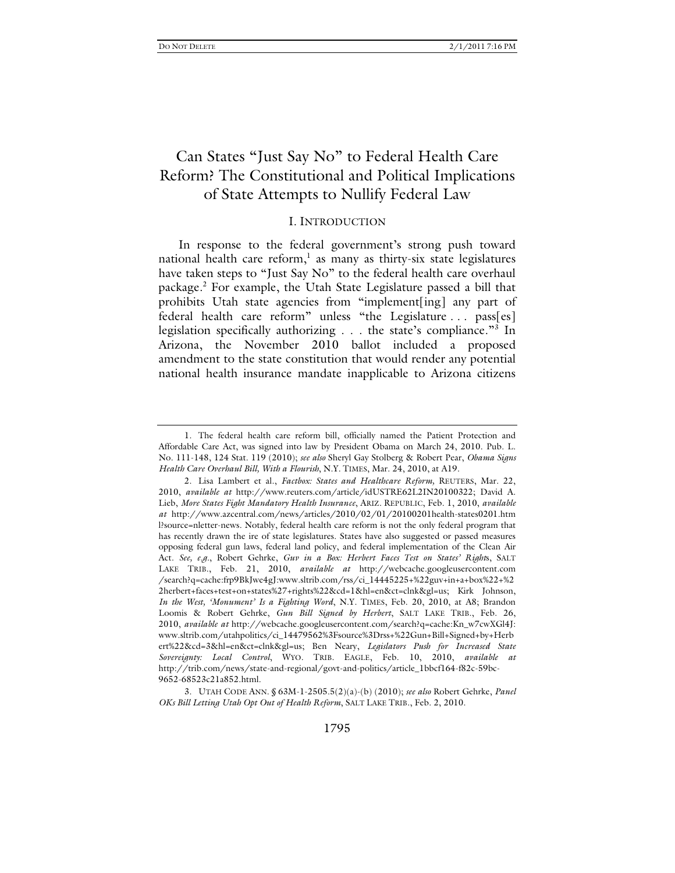# Can States "Just Say No" to Federal Health Care Reform? The Constitutional and Political Implications of State Attempts to Nullify Federal Law

# I. INTRODUCTION

In response to the federal government's strong push toward national health care reform,<sup>1</sup> as many as thirty-six state legislatures have taken steps to "Just Say No" to the federal health care overhaul package.2 For example, the Utah State Legislature passed a bill that prohibits Utah state agencies from "implement[ing] any part of federal health care reform" unless "the Legislature . . . pass[es] legislation specifically authorizing . . . the state's compliance."<sup>3</sup> In Arizona, the November 2010 ballot included a proposed amendment to the state constitution that would render any potential national health insurance mandate inapplicable to Arizona citizens

 <sup>1.</sup> The federal health care reform bill, officially named the Patient Protection and Affordable Care Act, was signed into law by President Obama on March 24, 2010. Pub. L. No. 111-148, 124 Stat. 119 (2010); *see also* Sheryl Gay Stolberg & Robert Pear, *Obama Signs Health Care Overhaul Bill, With a Flourish*, N.Y. TIMES, Mar. 24, 2010, at A19.

 <sup>2.</sup> Lisa Lambert et al., *Factbox: States and Healthcare Reform,* REUTERS, Mar. 22, 2010, *available at* http://www.reuters.com/article/idUSTRE62L2IN20100322; David A. Lieb, *More States Fight Mandatory Health Insurance*, ARIZ. REPUBLIC, Feb. 1, 2010, *available at* http://www.azcentral.com/news/articles/2010/02/01/20100201health-states0201.htm l?source=nletter-news. Notably, federal health care reform is not the only federal program that has recently drawn the ire of state legislatures. States have also suggested or passed measures opposing federal gun laws, federal land policy, and federal implementation of the Clean Air Act. *See, e.g.*, Robert Gehrke, *Guv in a Box: Herbert Faces Test on States' Right*s, SALT LAKE TRIB., Feb. 21, 2010, *available at* http://webcache.googleusercontent.com /search?q=cache:frp9BkJwe4gJ:www.sltrib.com/rss/ci\_14445225+%22guv+in+a+box%22+%2 2herbert+faces+test+on+states%27+rights%22&cd=1&hl=en&ct=clnk&gl=us; Kirk Johnson, *In the West, 'Monument' Is a Fighting Word*, N.Y. TIMES, Feb. 20, 2010, at A8; Brandon Loomis & Robert Gehrke, *Gun Bill Signed by Herbert*, SALT LAKE TRIB., Feb. 26, 2010, *available at* http://webcache.googleusercontent.com/search?q=cache:Kn\_w7cwXGl4J: www.sltrib.com/utahpolitics/ci\_14479562%3Fsource%3Drss+%22Gun+Bill+Signed+by+Herb ert%22&cd=3&hl=en&ct=clnk&gl=us; Ben Neary, *Legislators Push for Increased State Sovereignty: Local Control*, WYO. TRIB. EAGLE, Feb. 10, 2010, *available at*  http://trib.com/news/state-and-regional/govt-and-politics/article\_1bbcf164-f82c-59bc-9652-68523c21a852.html.

 <sup>3.</sup> UTAH CODE ANN. § 63M-1-2505.5(2)(a)-(b) (2010); *see also* Robert Gehrke, *Panel OKs Bill Letting Utah Opt Out of Health Reform*, SALT LAKE TRIB., Feb. 2, 2010.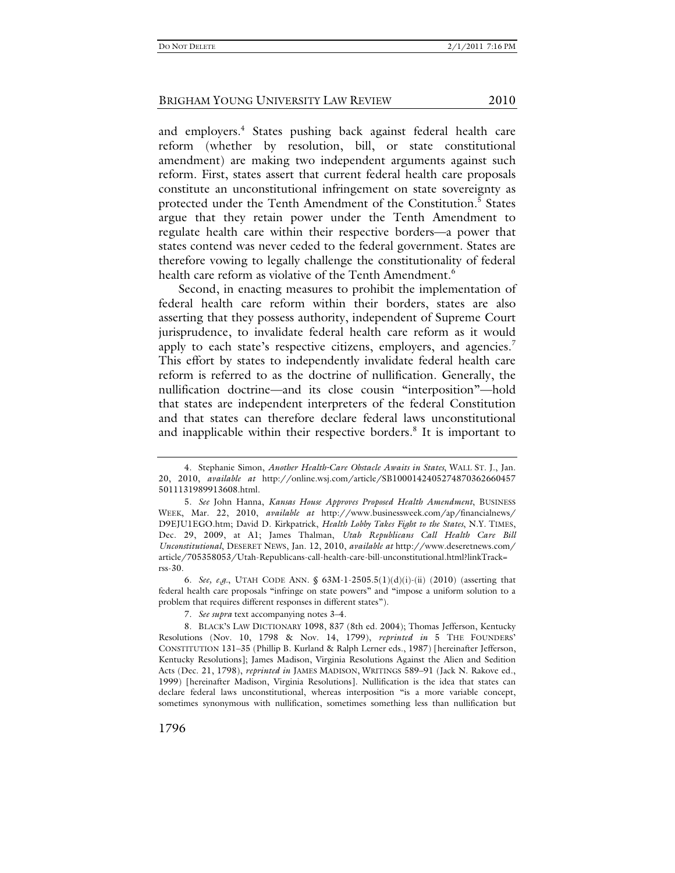and employers.<sup>4</sup> States pushing back against federal health care reform (whether by resolution, bill, or state constitutional amendment) are making two independent arguments against such reform. First, states assert that current federal health care proposals constitute an unconstitutional infringement on state sovereignty as protected under the Tenth Amendment of the Constitution.<sup>5</sup> States argue that they retain power under the Tenth Amendment to regulate health care within their respective borders—a power that states contend was never ceded to the federal government. States are therefore vowing to legally challenge the constitutionality of federal health care reform as violative of the Tenth Amendment.<sup>6</sup>

Second, in enacting measures to prohibit the implementation of federal health care reform within their borders, states are also asserting that they possess authority, independent of Supreme Court jurisprudence, to invalidate federal health care reform as it would apply to each state's respective citizens, employers, and agencies.<sup>7</sup> This effort by states to independently invalidate federal health care reform is referred to as the doctrine of nullification. Generally, the nullification doctrine—and its close cousin "interposition"—hold that states are independent interpreters of the federal Constitution and that states can therefore declare federal laws unconstitutional and inapplicable within their respective borders.<sup>8</sup> It is important to

 6. *See, e.g.*, UTAH CODE ANN. § 63M-1-2505.5(1)(d)(i)-(ii) (2010) (asserting that federal health care proposals "infringe on state powers" and "impose a uniform solution to a problem that requires different responses in different states").

 <sup>4.</sup> Stephanie Simon, *Another Health-Care Obstacle Awaits in States*, WALL ST. J., Jan. 20, 2010, *available at* http://online.wsj.com/article/SB1000142405274870362660457 5011131989913608.html.

 <sup>5.</sup> *See* John Hanna, *Kansas House Approves Proposed Health Amendment*, BUSINESS WEEK, Mar. 22, 2010, *available at* http://www.businessweek.com/ap/financialnews/ D9EJU1EGO.htm; David D. Kirkpatrick, *Health Lobby Takes Fight to the States*, N.Y. TIMES, Dec. 29, 2009, at A1; James Thalman, *Utah Republicans Call Health Care Bill Unconstitutional*, DESERET NEWS, Jan. 12, 2010, *available at* http://www.deseretnews.com/ article/705358053/Utah-Republicans-call-health-care-bill-unconstitutional.html?linkTrack= rss-30.

 <sup>7.</sup> *See supra* text accompanying notes 3–4.

 <sup>8.</sup> BLACK'S LAW DICTIONARY 1098, 837 (8th ed. 2004); Thomas Jefferson, Kentucky Resolutions (Nov. 10, 1798 & Nov. 14, 1799), *reprinted in* 5 THE FOUNDERS' CONSTITUTION 131–35 (Phillip B. Kurland & Ralph Lerner eds., 1987) [hereinafter Jefferson, Kentucky Resolutions]; James Madison, Virginia Resolutions Against the Alien and Sedition Acts (Dec. 21, 1798), *reprinted in* JAMES MADISON, WRITINGS 589–91 (Jack N. Rakove ed., 1999) [hereinafter Madison, Virginia Resolutions]. Nullification is the idea that states can declare federal laws unconstitutional, whereas interposition "is a more variable concept, sometimes synonymous with nullification, sometimes something less than nullification but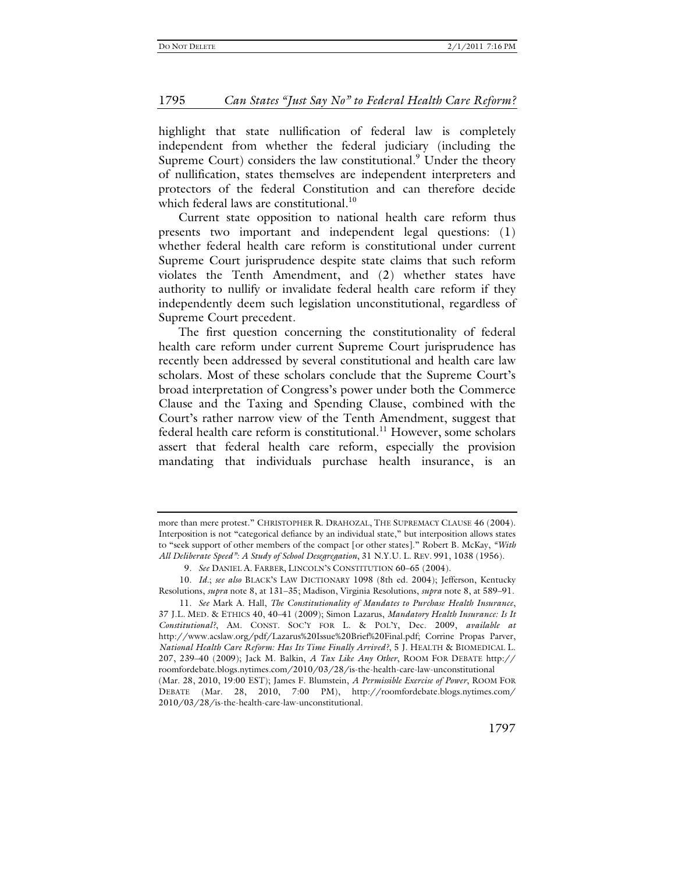highlight that state nullification of federal law is completely independent from whether the federal judiciary (including the Supreme Court) considers the law constitutional.<sup>9</sup> Under the theory of nullification, states themselves are independent interpreters and protectors of the federal Constitution and can therefore decide which federal laws are constitutional.<sup>10</sup>

Current state opposition to national health care reform thus presents two important and independent legal questions: (1) whether federal health care reform is constitutional under current Supreme Court jurisprudence despite state claims that such reform violates the Tenth Amendment, and (2) whether states have authority to nullify or invalidate federal health care reform if they independently deem such legislation unconstitutional, regardless of Supreme Court precedent.

The first question concerning the constitutionality of federal health care reform under current Supreme Court jurisprudence has recently been addressed by several constitutional and health care law scholars. Most of these scholars conclude that the Supreme Court's broad interpretation of Congress's power under both the Commerce Clause and the Taxing and Spending Clause, combined with the Court's rather narrow view of the Tenth Amendment, suggest that federal health care reform is constitutional.<sup>11</sup> However, some scholars assert that federal health care reform, especially the provision mandating that individuals purchase health insurance, is an

more than mere protest." CHRISTOPHER R. DRAHOZAL, THE SUPREMACY CLAUSE 46 (2004). Interposition is not "categorical defiance by an individual state," but interposition allows states to "seek support of other members of the compact [or other states]." Robert B. McKay, *"With All Deliberate Speed": A Study of School Desegregation*, 31 N.Y.U. L. REV. 991, 1038 (1956)*.*

 <sup>9.</sup> *See* DANIEL A. FARBER, LINCOLN'S CONSTITUTION 60–65 (2004).

 <sup>10.</sup> *Id.*; *see also* BLACK'S LAW DICTIONARY 1098 (8th ed. 2004); Jefferson, Kentucky Resolutions, *supra* note 8, at 131–35; Madison, Virginia Resolutions, *supra* note 8, at 589–91.

 <sup>11.</sup> *See* Mark A. Hall, *The Constitutionality of Mandates to Purchase Health Insurance*, 37 J.L. MED. & ETHICS 40, 40–41 (2009); Simon Lazarus, *Mandatory Health Insurance: Is It Constitutional?*, AM. CONST. SOC'Y FOR L. & POL'Y, Dec. 2009, *available at* http://www.acslaw.org/pdf/Lazarus%20Issue%20Brief%20Final.pdf; Corrine Propas Parver, *National Health Care Reform: Has Its Time Finally Arrived?*, 5 J. HEALTH & BIOMEDICAL L. 207, 239–40 (2009); Jack M. Balkin, *A Tax Like Any Other*, ROOM FOR DEBATE http:// roomfordebate.blogs.nytimes.com/2010/03/28/is-the-health-care-law-unconstitutional

<sup>(</sup>Mar. 28, 2010, 19:00 EST); James F. Blumstein, *A Permissible Exercise of Power*, ROOM FOR DEBATE (Mar. 28, 2010, 7:00 PM), http://roomfordebate.blogs.nytimes.com/ 2010/03/28/is-the-health-care-law-unconstitutional.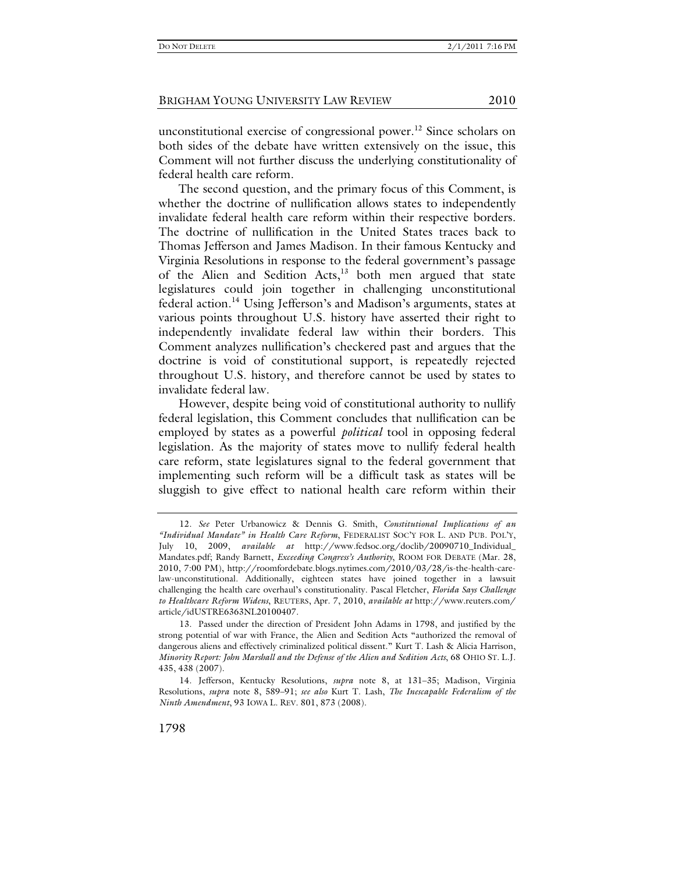unconstitutional exercise of congressional power.<sup>12</sup> Since scholars on both sides of the debate have written extensively on the issue, this Comment will not further discuss the underlying constitutionality of federal health care reform.

The second question, and the primary focus of this Comment, is whether the doctrine of nullification allows states to independently invalidate federal health care reform within their respective borders. The doctrine of nullification in the United States traces back to Thomas Jefferson and James Madison. In their famous Kentucky and Virginia Resolutions in response to the federal government's passage of the Alien and Sedition Acts, $13$  both men argued that state legislatures could join together in challenging unconstitutional federal action.14 Using Jefferson's and Madison's arguments, states at various points throughout U.S. history have asserted their right to independently invalidate federal law within their borders. This Comment analyzes nullification's checkered past and argues that the doctrine is void of constitutional support, is repeatedly rejected throughout U.S. history, and therefore cannot be used by states to invalidate federal law.

However, despite being void of constitutional authority to nullify federal legislation, this Comment concludes that nullification can be employed by states as a powerful *political* tool in opposing federal legislation. As the majority of states move to nullify federal health care reform, state legislatures signal to the federal government that implementing such reform will be a difficult task as states will be sluggish to give effect to national health care reform within their

 <sup>12.</sup> *See* Peter Urbanowicz & Dennis G. Smith, *Constitutional Implications of an "Individual Mandate" in Health Care Reform*, FEDERALIST SOC'Y FOR L. AND PUB. POL'Y, July 10, 2009, *available at* http://www.fedsoc.org/doclib/20090710\_Individual\_ Mandates.pdf; Randy Barnett, *Exceeding Congress's Authority*, ROOM FOR DEBATE (Mar. 28, 2010, 7:00 PM), http://roomfordebate.blogs.nytimes.com/2010/03/28/is-the-health-carelaw-unconstitutional. Additionally, eighteen states have joined together in a lawsuit challenging the health care overhaul's constitutionality. Pascal Fletcher, *Florida Says Challenge to Healthcare Reform Widens*, REUTERS, Apr. 7, 2010, *available at* http://www.reuters.com/ article/idUSTRE6363NL20100407.

 <sup>13.</sup> Passed under the direction of President John Adams in 1798, and justified by the strong potential of war with France, the Alien and Sedition Acts "authorized the removal of dangerous aliens and effectively criminalized political dissent." Kurt T. Lash & Alicia Harrison, *Minority Report: John Marshall and the Defense of the Alien and Sedition Acts*, 68 OHIO ST. L.J. 435, 438 (2007).

 <sup>14.</sup> Jefferson, Kentucky Resolutions, *supra* note 8, at 131–35; Madison, Virginia Resolutions, *supra* note 8, 589–91; *see also* Kurt T. Lash, *The Inescapable Federalism of the Ninth Amendment*, 93 IOWA L. REV. 801, 873 (2008).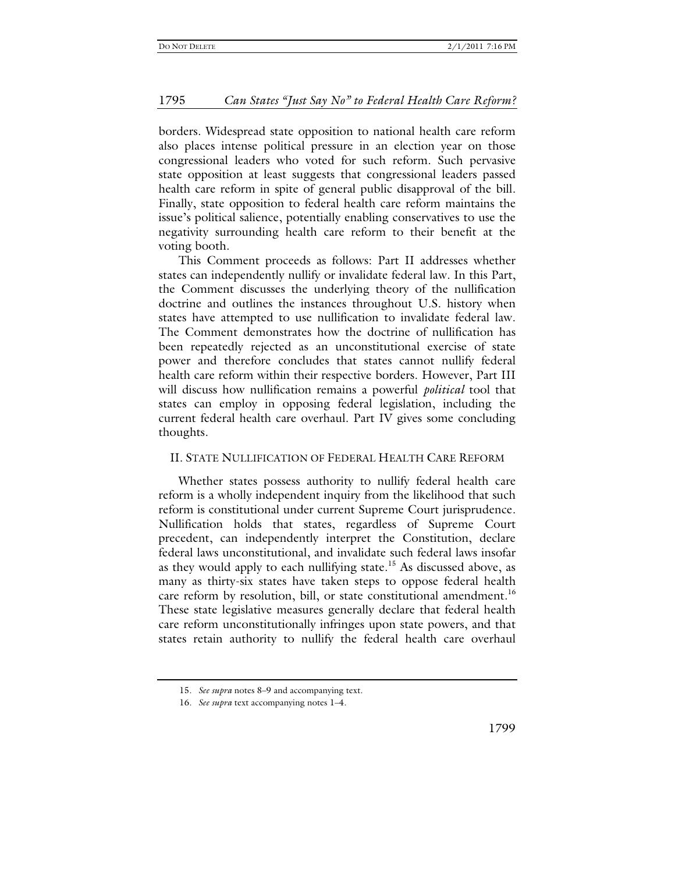borders. Widespread state opposition to national health care reform also places intense political pressure in an election year on those congressional leaders who voted for such reform. Such pervasive state opposition at least suggests that congressional leaders passed health care reform in spite of general public disapproval of the bill. Finally, state opposition to federal health care reform maintains the issue's political salience, potentially enabling conservatives to use the negativity surrounding health care reform to their benefit at the voting booth.

This Comment proceeds as follows: Part II addresses whether states can independently nullify or invalidate federal law. In this Part, the Comment discusses the underlying theory of the nullification doctrine and outlines the instances throughout U.S. history when states have attempted to use nullification to invalidate federal law. The Comment demonstrates how the doctrine of nullification has been repeatedly rejected as an unconstitutional exercise of state power and therefore concludes that states cannot nullify federal health care reform within their respective borders. However, Part III will discuss how nullification remains a powerful *political* tool that states can employ in opposing federal legislation, including the current federal health care overhaul. Part IV gives some concluding thoughts.

# II. STATE NULLIFICATION OF FEDERAL HEALTH CARE REFORM

Whether states possess authority to nullify federal health care reform is a wholly independent inquiry from the likelihood that such reform is constitutional under current Supreme Court jurisprudence. Nullification holds that states, regardless of Supreme Court precedent, can independently interpret the Constitution, declare federal laws unconstitutional, and invalidate such federal laws insofar as they would apply to each nullifying state.<sup>15</sup> As discussed above, as many as thirty-six states have taken steps to oppose federal health care reform by resolution, bill, or state constitutional amendment.<sup>16</sup> These state legislative measures generally declare that federal health care reform unconstitutionally infringes upon state powers, and that states retain authority to nullify the federal health care overhaul

 <sup>15.</sup> *See supra* notes 8–9 and accompanying text.

 <sup>16.</sup> *See supra* text accompanying notes 1–4.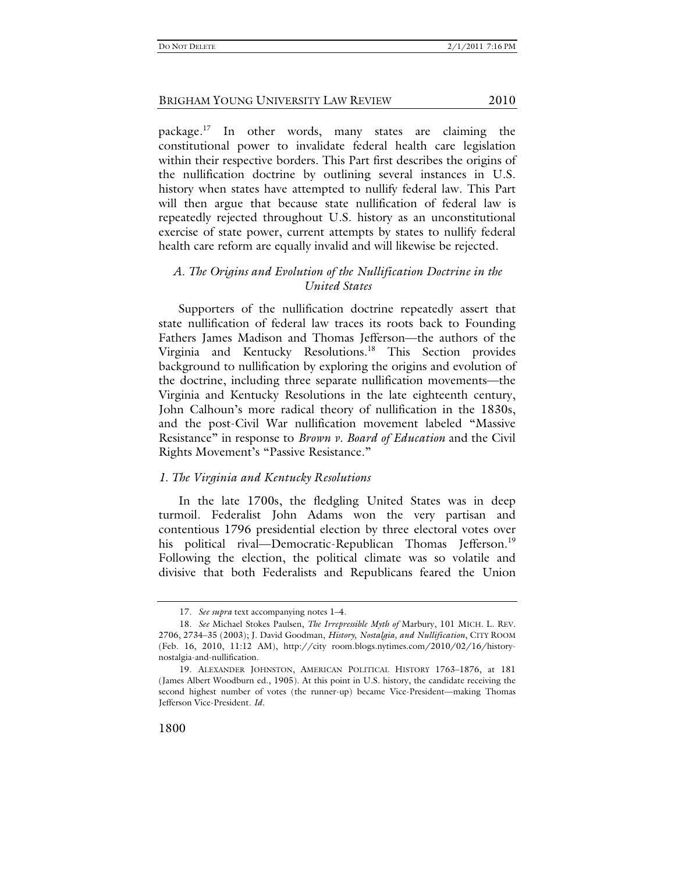package.17 In other words, many states are claiming the constitutional power to invalidate federal health care legislation within their respective borders. This Part first describes the origins of the nullification doctrine by outlining several instances in U.S. history when states have attempted to nullify federal law. This Part will then argue that because state nullification of federal law is repeatedly rejected throughout U.S. history as an unconstitutional exercise of state power, current attempts by states to nullify federal health care reform are equally invalid and will likewise be rejected.

# *A. The Origins and Evolution of the Nullification Doctrine in the United States*

Supporters of the nullification doctrine repeatedly assert that state nullification of federal law traces its roots back to Founding Fathers James Madison and Thomas Jefferson—the authors of the Virginia and Kentucky Resolutions.<sup>18</sup> This Section provides background to nullification by exploring the origins and evolution of the doctrine, including three separate nullification movements—the Virginia and Kentucky Resolutions in the late eighteenth century, John Calhoun's more radical theory of nullification in the 1830s, and the post-Civil War nullification movement labeled "Massive Resistance" in response to *Brown v. Board of Education* and the Civil Rights Movement's "Passive Resistance."

# *1. The Virginia and Kentucky Resolutions*

In the late 1700s, the fledgling United States was in deep turmoil. Federalist John Adams won the very partisan and contentious 1796 presidential election by three electoral votes over his political rival—Democratic-Republican Thomas Jefferson.<sup>19</sup> Following the election, the political climate was so volatile and divisive that both Federalists and Republicans feared the Union

 <sup>17.</sup> *See supra* text accompanying notes 1–4.

 <sup>18.</sup> *See* Michael Stokes Paulsen, *The Irrepressible Myth of* Marbury, 101 MICH. L. REV. 2706, 2734–35 (2003); J. David Goodman, *History, Nostalgia, and Nullification*, CITY ROOM (Feb. 16, 2010, 11:12 AM), http://city room.blogs.nytimes.com/2010/02/16/historynostalgia-and-nullification.

 <sup>19.</sup> ALEXANDER JOHNSTON, AMERICAN POLITICAL HISTORY 1763–1876, at 181 (James Albert Woodburn ed., 1905). At this point in U.S. history, the candidate receiving the second highest number of votes (the runner-up) became Vice-President—making Thomas Jefferson Vice-President. *Id.*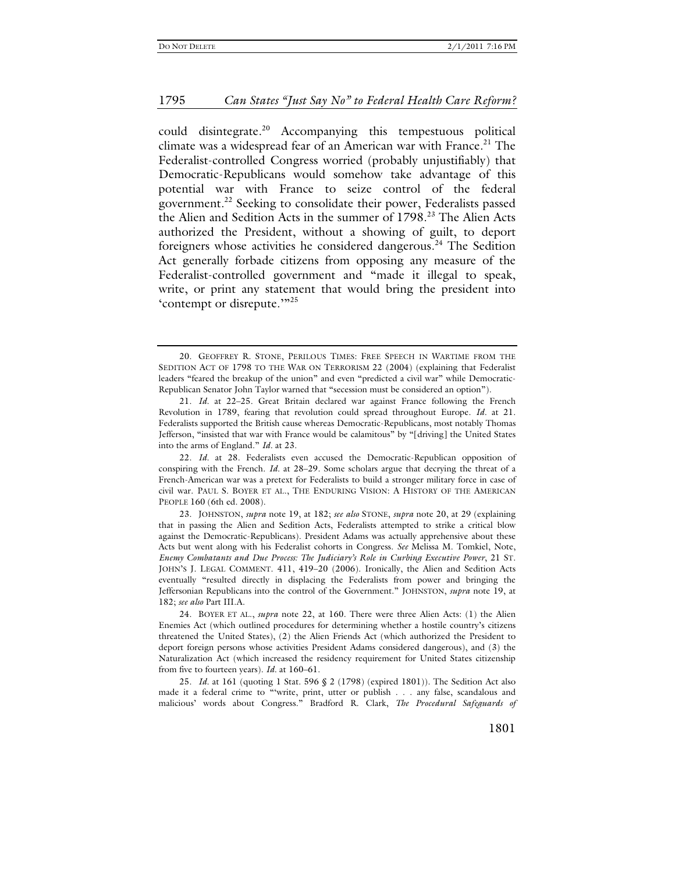could disintegrate.20 Accompanying this tempestuous political climate was a widespread fear of an American war with France.<sup>21</sup> The Federalist-controlled Congress worried (probably unjustifiably) that Democratic-Republicans would somehow take advantage of this potential war with France to seize control of the federal government.<sup>22</sup> Seeking to consolidate their power, Federalists passed the Alien and Sedition Acts in the summer of 1798.<sup>23</sup> The Alien Acts authorized the President, without a showing of guilt, to deport foreigners whose activities he considered dangerous.<sup>24</sup> The Sedition Act generally forbade citizens from opposing any measure of the Federalist-controlled government and "made it illegal to speak, write, or print any statement that would bring the president into 'contempt or disrepute.'"<sup>25</sup>

 22. *Id.* at 28. Federalists even accused the Democratic-Republican opposition of conspiring with the French. *Id.* at 28–29. Some scholars argue that decrying the threat of a French-American war was a pretext for Federalists to build a stronger military force in case of civil war. PAUL S. BOYER ET AL., THE ENDURING VISION: A HISTORY OF THE AMERICAN PEOPLE 160 (6th ed. 2008).

 23. JOHNSTON, *supra* note 19, at 182; *see also* STONE, *supra* note 20, at 29 (explaining that in passing the Alien and Sedition Acts, Federalists attempted to strike a critical blow against the Democratic-Republicans). President Adams was actually apprehensive about these Acts but went along with his Federalist cohorts in Congress. *See* Melissa M. Tomkiel, Note, *Enemy Combatants and Due Process: The Judiciary's Role in Curbing Executive Power*, 21 ST. JOHN'S J. LEGAL COMMENT. 411, 419–20 (2006). Ironically, the Alien and Sedition Acts eventually "resulted directly in displacing the Federalists from power and bringing the Jeffersonian Republicans into the control of the Government." JOHNSTON, *supra* note 19, at 182; *see also* Part III.A.

 24. BOYER ET AL., *supra* note 22, at 160. There were three Alien Acts: (1) the Alien Enemies Act (which outlined procedures for determining whether a hostile country's citizens threatened the United States), (2) the Alien Friends Act (which authorized the President to deport foreign persons whose activities President Adams considered dangerous), and (3) the Naturalization Act (which increased the residency requirement for United States citizenship from five to fourteen years). *Id.* at 160–61.

 25. *Id.* at 161 (quoting 1 Stat. 596 § 2 (1798) (expired 1801)). The Sedition Act also made it a federal crime to "'write, print, utter or publish . . . any false, scandalous and malicious' words about Congress." Bradford R. Clark, *The Procedural Safeguards of* 

 <sup>20.</sup> GEOFFREY R. STONE, PERILOUS TIMES: FREE SPEECH IN WARTIME FROM THE SEDITION ACT OF 1798 TO THE WAR ON TERRORISM 22 (2004) (explaining that Federalist leaders "feared the breakup of the union" and even "predicted a civil war" while Democratic-Republican Senator John Taylor warned that "secession must be considered an option").

 <sup>21.</sup> *Id.* at 22–25. Great Britain declared war against France following the French Revolution in 1789, fearing that revolution could spread throughout Europe. *Id.* at 21. Federalists supported the British cause whereas Democratic-Republicans, most notably Thomas Jefferson, "insisted that war with France would be calamitous" by "[driving] the United States into the arms of England." *Id.* at 23.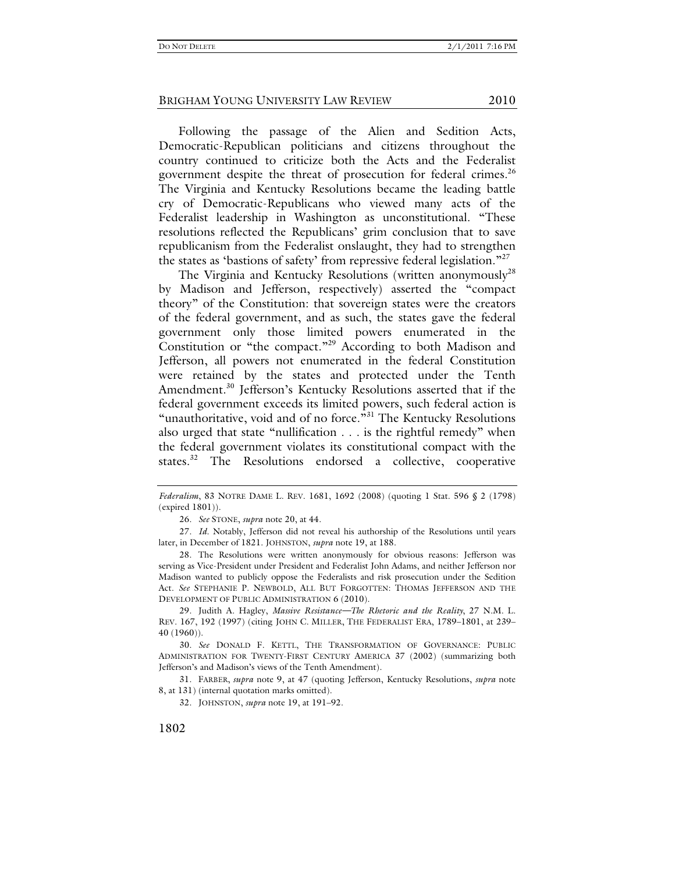Following the passage of the Alien and Sedition Acts, Democratic-Republican politicians and citizens throughout the country continued to criticize both the Acts and the Federalist government despite the threat of prosecution for federal crimes.<sup>26</sup> The Virginia and Kentucky Resolutions became the leading battle cry of Democratic-Republicans who viewed many acts of the Federalist leadership in Washington as unconstitutional. "These resolutions reflected the Republicans' grim conclusion that to save republicanism from the Federalist onslaught, they had to strengthen the states as 'bastions of safety' from repressive federal legislation."<sup>27</sup>

The Virginia and Kentucky Resolutions (written anonymously $28$ by Madison and Jefferson, respectively) asserted the "compact theory" of the Constitution: that sovereign states were the creators of the federal government, and as such, the states gave the federal government only those limited powers enumerated in the Constitution or "the compact."29 According to both Madison and Jefferson, all powers not enumerated in the federal Constitution were retained by the states and protected under the Tenth Amendment.<sup>30</sup> Jefferson's Kentucky Resolutions asserted that if the federal government exceeds its limited powers, such federal action is "unauthoritative, void and of no force."<sup>31</sup> The Kentucky Resolutions also urged that state "nullification . . . is the rightful remedy" when the federal government violates its constitutional compact with the states.<sup>32</sup> The Resolutions endorsed a collective, cooperative

*Federalism*, 83 NOTRE DAME L. REV. 1681, 1692 (2008) (quoting 1 Stat. 596 § 2 (1798) (expired 1801)).

 <sup>26.</sup> *See* STONE, *supra* note 20, at 44.

 <sup>27.</sup> *Id.* Notably, Jefferson did not reveal his authorship of the Resolutions until years later, in December of 1821. JOHNSTON, *supra* note 19, at 188.

 <sup>28.</sup> The Resolutions were written anonymously for obvious reasons: Jefferson was serving as Vice-President under President and Federalist John Adams, and neither Jefferson nor Madison wanted to publicly oppose the Federalists and risk prosecution under the Sedition Act. *See* STEPHANIE P. NEWBOLD, ALL BUT FORGOTTEN: THOMAS JEFFERSON AND THE DEVELOPMENT OF PUBLIC ADMINISTRATION 6 (2010).

 <sup>29.</sup> Judith A. Hagley, *Massive Resistance—The Rhetoric and the Reality*, 27 N.M. L. REV. 167, 192 (1997) (citing JOHN C. MILLER, THE FEDERALIST ERA, 1789–1801, at 239– 40 (1960)).

 <sup>30.</sup> *See* DONALD F. KETTL, THE TRANSFORMATION OF GOVERNANCE: PUBLIC ADMINISTRATION FOR TWENTY-FIRST CENTURY AMERICA 37 (2002) (summarizing both Jefferson's and Madison's views of the Tenth Amendment).

 <sup>31.</sup> FARBER, *supra* note 9, at 47 (quoting Jefferson, Kentucky Resolutions, *supra* note 8, at 131) (internal quotation marks omitted).

 <sup>32.</sup> JOHNSTON, *supra* note 19, at 191–92.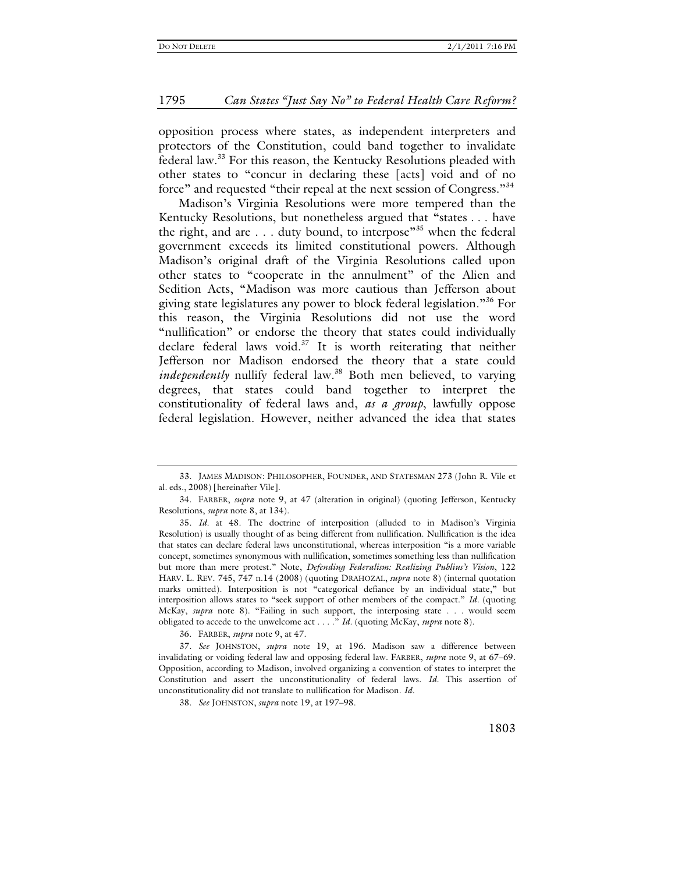opposition process where states, as independent interpreters and protectors of the Constitution, could band together to invalidate federal law.33 For this reason, the Kentucky Resolutions pleaded with other states to "concur in declaring these [acts] void and of no force" and requested "their repeal at the next session of Congress."<sup>34</sup>

Madison's Virginia Resolutions were more tempered than the Kentucky Resolutions, but nonetheless argued that "states . . . have the right, and are  $\dots$  duty bound, to interpose<sup>35</sup> when the federal government exceeds its limited constitutional powers. Although Madison's original draft of the Virginia Resolutions called upon other states to "cooperate in the annulment" of the Alien and Sedition Acts, "Madison was more cautious than Jefferson about giving state legislatures any power to block federal legislation."<sup>36</sup> For this reason, the Virginia Resolutions did not use the word "nullification" or endorse the theory that states could individually declare federal laws void.<sup>37</sup> It is worth reiterating that neither Jefferson nor Madison endorsed the theory that a state could *independently* nullify federal law.<sup>38</sup> Both men believed, to varying degrees, that states could band together to interpret the constitutionality of federal laws and, *as a group*, lawfully oppose federal legislation. However, neither advanced the idea that states

36. FARBER, *supra* note 9, at 47.

 37. *See* JOHNSTON, *supra* note 19, at 196. Madison saw a difference between invalidating or voiding federal law and opposing federal law. FARBER, *supra* note 9, at 67–69. Opposition, according to Madison, involved organizing a convention of states to interpret the Constitution and assert the unconstitutionality of federal laws. *Id.* This assertion of unconstitutionality did not translate to nullification for Madison. *Id.* 

 <sup>33.</sup> JAMES MADISON: PHILOSOPHER, FOUNDER, AND STATESMAN 273 (John R. Vile et al. eds., 2008) [hereinafter Vile].

 <sup>34.</sup> FARBER, *supra* note 9, at 47 (alteration in original) (quoting Jefferson, Kentucky Resolutions, *supra* note 8, at 134).

 <sup>35.</sup> *Id.* at 48. The doctrine of interposition (alluded to in Madison's Virginia Resolution) is usually thought of as being different from nullification. Nullification is the idea that states can declare federal laws unconstitutional, whereas interposition "is a more variable concept, sometimes synonymous with nullification, sometimes something less than nullification but more than mere protest." Note, *Defending Federalism: Realizing Publius's Vision*, 122 HARV. L. REV. 745, 747 n.14 (2008) (quoting DRAHOZAL, *supra* note 8) (internal quotation marks omitted). Interposition is not "categorical defiance by an individual state," but interposition allows states to "seek support of other members of the compact." *Id.* (quoting McKay, *supra* note 8). "Failing in such support, the interposing state . . . would seem obligated to accede to the unwelcome act . . . ." *Id.* (quoting McKay, *supra* note 8).

 <sup>38.</sup> *See* JOHNSTON, *supra* note 19, at 197–98.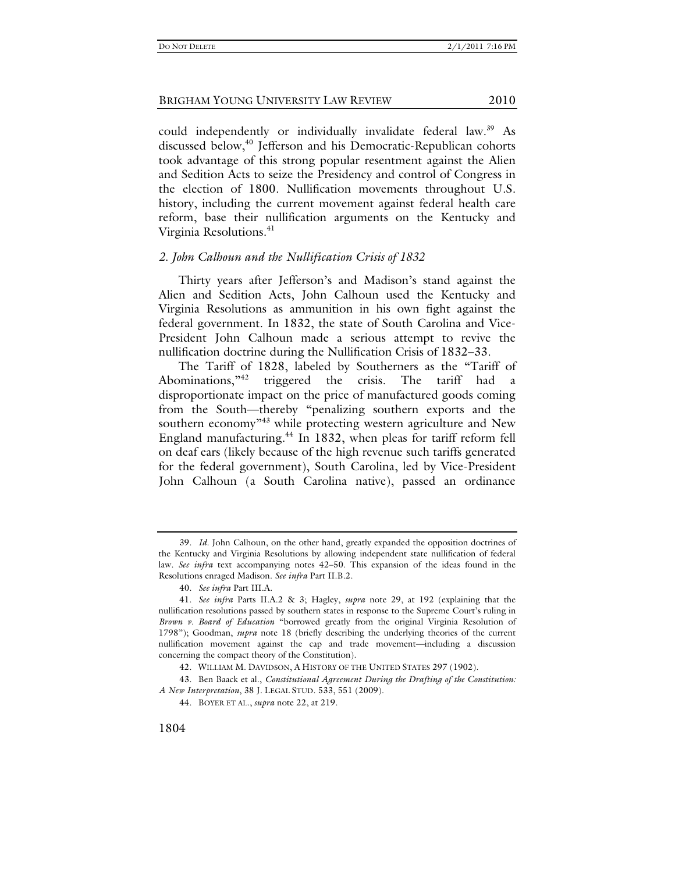could independently or individually invalidate federal law.<sup>39</sup> As discussed below,<sup>40</sup> Jefferson and his Democratic-Republican cohorts took advantage of this strong popular resentment against the Alien and Sedition Acts to seize the Presidency and control of Congress in the election of 1800. Nullification movements throughout U.S. history, including the current movement against federal health care reform, base their nullification arguments on the Kentucky and Virginia Resolutions.<sup>41</sup>

### *2. John Calhoun and the Nullification Crisis of 1832*

Thirty years after Jefferson's and Madison's stand against the Alien and Sedition Acts, John Calhoun used the Kentucky and Virginia Resolutions as ammunition in his own fight against the federal government. In 1832, the state of South Carolina and Vice-President John Calhoun made a serious attempt to revive the nullification doctrine during the Nullification Crisis of 1832–33.

The Tariff of 1828, labeled by Southerners as the "Tariff of Abominations,"<sup>42</sup> triggered the crisis. The tariff had a triggered the crisis. The tariff had disproportionate impact on the price of manufactured goods coming from the South—thereby "penalizing southern exports and the southern economy<sup>"43</sup> while protecting western agriculture and New England manufacturing.<sup>44</sup> In 1832, when pleas for tariff reform fell on deaf ears (likely because of the high revenue such tariffs generated for the federal government), South Carolina, led by Vice-President John Calhoun (a South Carolina native), passed an ordinance

 <sup>39.</sup> *Id.* John Calhoun, on the other hand, greatly expanded the opposition doctrines of the Kentucky and Virginia Resolutions by allowing independent state nullification of federal law. *See infra* text accompanying notes 42–50. This expansion of the ideas found in the Resolutions enraged Madison. *See infra* Part II.B.2.

 <sup>40.</sup> *See infra* Part III.A.

 <sup>41.</sup> *See infra* Parts II.A.2 & 3; Hagley, *supra* note 29, at 192 (explaining that the nullification resolutions passed by southern states in response to the Supreme Court's ruling in *Brown v. Board of Education* "borrowed greatly from the original Virginia Resolution of 1798"); Goodman, *supra* note 18 (briefly describing the underlying theories of the current nullification movement against the cap and trade movement—including a discussion concerning the compact theory of the Constitution).

 <sup>42.</sup> WILLIAM M. DAVIDSON, A HISTORY OF THE UNITED STATES 297 (1902).

 <sup>43.</sup> Ben Baack et al., *Constitutional Agreement During the Drafting of the Constitution: A New Interpretation*, 38 J. LEGAL STUD. 533, 551 (2009).

 <sup>44.</sup> BOYER ET AL., *supra* note 22, at 219.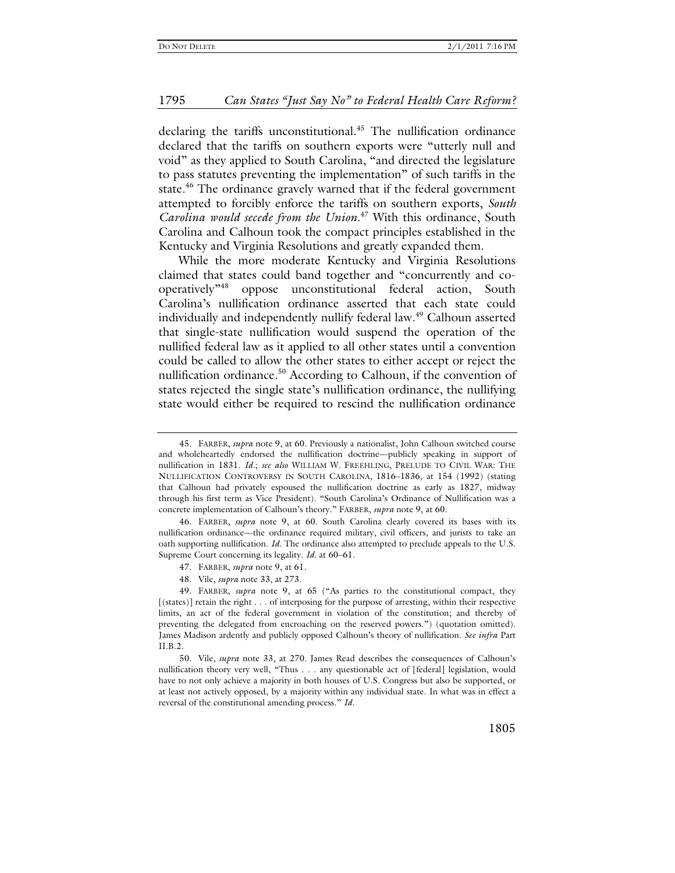declaring the tariffs unconstitutional.<sup>45</sup> The nullification ordinance declared that the tariffs on southern exports were "utterly null and void" as they applied to South Carolina, "and directed the legislature to pass statutes preventing the implementation" of such tariffs in the state.<sup>46</sup> The ordinance gravely warned that if the federal government attempted to forcibly enforce the tariffs on southern exports, *South Carolina would secede from the Union*. 47 With this ordinance, South Carolina and Calhoun took the compact principles established in the Kentucky and Virginia Resolutions and greatly expanded them.

While the more moderate Kentucky and Virginia Resolutions claimed that states could band together and "concurrently and cooperatively"48 oppose unconstitutional federal action, South Carolina's nullification ordinance asserted that each state could individually and independently nullify federal law.<sup>49</sup> Calhoun asserted that single-state nullification would suspend the operation of the nullified federal law as it applied to all other states until a convention could be called to allow the other states to either accept or reject the nullification ordinance.<sup>50</sup> According to Calhoun, if the convention of states rejected the single state's nullification ordinance, the nullifying state would either be required to rescind the nullification ordinance

48. Vile, *supra* note 33, at 273.

 <sup>45.</sup> FARBER, *supra* note 9, at 60. Previously a nationalist, John Calhoun switched course and wholeheartedly endorsed the nullification doctrine—publicly speaking in support of nullification in 1831. *Id.*; *see also* WILLIAM W. FREEHLING, PRELUDE TO CIVIL WAR: THE NULLIFICATION CONTROVERSY IN SOUTH CAROLINA, 1816–1836, at 154 (1992) (stating that Calhoun had privately espoused the nullification doctrine as early as 1827, midway through his first term as Vice President). "South Carolina's Ordinance of Nullification was a concrete implementation of Calhoun's theory." FARBER, *supra* note 9, at 60.

 <sup>46.</sup> FARBER, *supra* note 9, at 60. South Carolina clearly covered its bases with its nullification ordinance—the ordinance required military, civil officers, and jurists to take an oath supporting nullification. *Id.* The ordinance also attempted to preclude appeals to the U.S. Supreme Court concerning its legality. *Id.* at 60–61.

 <sup>47.</sup> FARBER, *supra* note 9, at 61.

 <sup>49.</sup> FARBER, *supra* note 9, at 65 ("As parties to the constitutional compact, they [(states)] retain the right . . . of interposing for the purpose of arresting, within their respective limits, an act of the federal government in violation of the constitution; and thereby of preventing the delegated from encroaching on the reserved powers.") (quotation omitted). James Madison ardently and publicly opposed Calhoun's theory of nullification. *See infra* Part II.B.2.

 <sup>50.</sup> Vile, *supra* note 33, at 270. James Read describes the consequences of Calhoun's nullification theory very well, "Thus . . . any questionable act of [federal] legislation, would have to not only achieve a majority in both houses of U.S. Congress but also be supported, or at least not actively opposed, by a majority within any individual state. In what was in effect a reversal of the constitutional amending process." *Id.*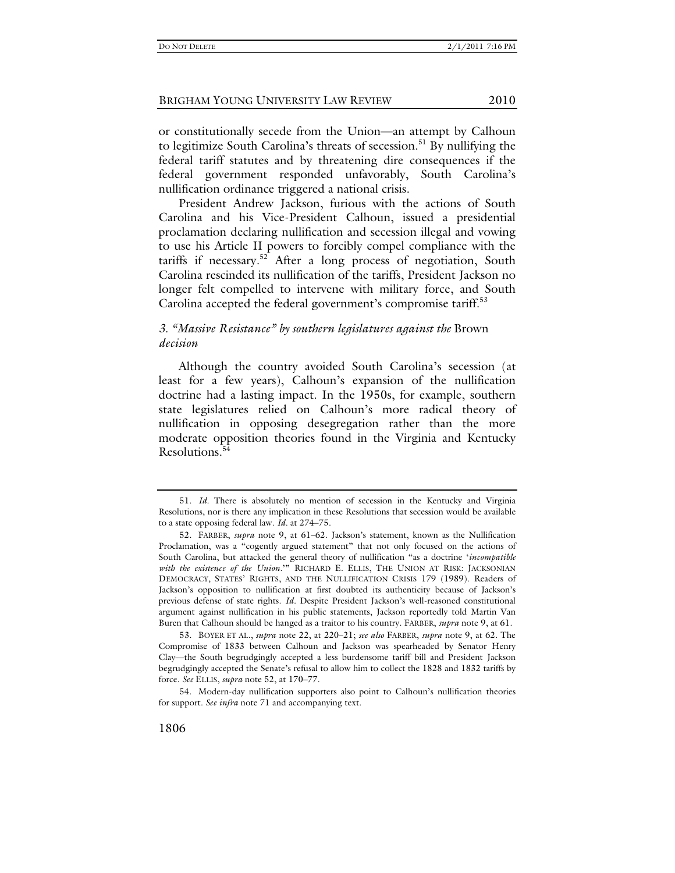or constitutionally secede from the Union—an attempt by Calhoun to legitimize South Carolina's threats of secession.<sup>51</sup> By nullifying the federal tariff statutes and by threatening dire consequences if the federal government responded unfavorably, South Carolina's nullification ordinance triggered a national crisis.

President Andrew Jackson, furious with the actions of South Carolina and his Vice-President Calhoun, issued a presidential proclamation declaring nullification and secession illegal and vowing to use his Article II powers to forcibly compel compliance with the tariffs if necessary.<sup>52</sup> After a long process of negotiation, South Carolina rescinded its nullification of the tariffs, President Jackson no longer felt compelled to intervene with military force, and South Carolina accepted the federal government's compromise tariff.<sup>53</sup>

# *3. "Massive Resistance" by southern legislatures against the* Brown *decision*

Although the country avoided South Carolina's secession (at least for a few years), Calhoun's expansion of the nullification doctrine had a lasting impact. In the 1950s, for example, southern state legislatures relied on Calhoun's more radical theory of nullification in opposing desegregation rather than the more moderate opposition theories found in the Virginia and Kentucky Resolutions.<sup>5</sup>

 <sup>51.</sup> *Id.* There is absolutely no mention of secession in the Kentucky and Virginia Resolutions, nor is there any implication in these Resolutions that secession would be available to a state opposing federal law. *Id.* at 274–75.

 <sup>52.</sup> FARBER, *supra* note 9, at 61–62. Jackson's statement, known as the Nullification Proclamation, was a "cogently argued statement" that not only focused on the actions of South Carolina, but attacked the general theory of nullification "as a doctrine '*incompatible with the existence of the Union*.'" RICHARD E. ELLIS, THE UNION AT RISK: JACKSONIAN DEMOCRACY, STATES' RIGHTS, AND THE NULLIFICATION CRISIS 179 (1989). Readers of Jackson's opposition to nullification at first doubted its authenticity because of Jackson's previous defense of state rights. *Id.* Despite President Jackson's well-reasoned constitutional argument against nullification in his public statements, Jackson reportedly told Martin Van Buren that Calhoun should be hanged as a traitor to his country. FARBER, *supra* note 9, at 61.

 <sup>53.</sup> BOYER ET AL., *supra* note 22, at 220–21; *see also* FARBER, *supra* note 9, at 62. The Compromise of 1833 between Calhoun and Jackson was spearheaded by Senator Henry Clay—the South begrudgingly accepted a less burdensome tariff bill and President Jackson begrudgingly accepted the Senate's refusal to allow him to collect the 1828 and 1832 tariffs by force. *See* ELLIS, *supra* note 52, at 170–77.

 <sup>54.</sup> Modern-day nullification supporters also point to Calhoun's nullification theories for support. *See infra* note 71 and accompanying text.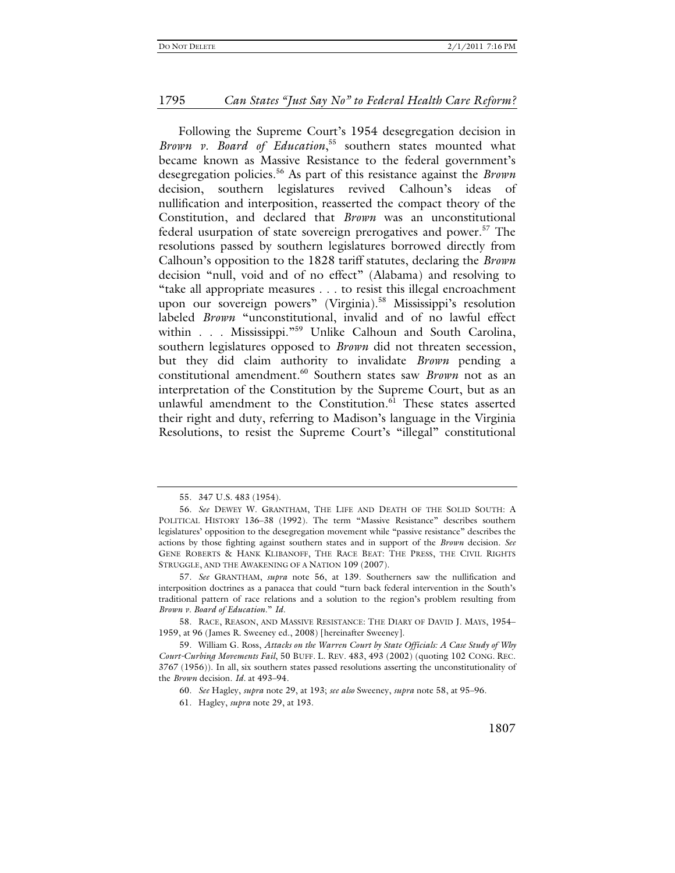Following the Supreme Court's 1954 desegregation decision in *Brown v. Board of Education*, 55 southern states mounted what became known as Massive Resistance to the federal government's desegregation policies.56 As part of this resistance against the *Brown* decision, southern legislatures revived Calhoun's ideas of nullification and interposition, reasserted the compact theory of the Constitution, and declared that *Brown* was an unconstitutional federal usurpation of state sovereign prerogatives and power.<sup>57</sup> The resolutions passed by southern legislatures borrowed directly from Calhoun's opposition to the 1828 tariff statutes, declaring the *Brown* decision "null, void and of no effect" (Alabama) and resolving to "take all appropriate measures . . . to resist this illegal encroachment upon our sovereign powers" (Virginia).<sup>58</sup> Mississippi's resolution labeled *Brown* "unconstitutional, invalid and of no lawful effect within . . . Mississippi."<sup>59</sup> Unlike Calhoun and South Carolina, southern legislatures opposed to *Brown* did not threaten secession, but they did claim authority to invalidate *Brown* pending a constitutional amendment.60 Southern states saw *Brown* not as an interpretation of the Constitution by the Supreme Court, but as an unlawful amendment to the Constitution.<sup>61</sup> These states asserted their right and duty, referring to Madison's language in the Virginia Resolutions, to resist the Supreme Court's "illegal" constitutional

 <sup>55. 347</sup> U.S. 483 (1954).

 <sup>56.</sup> *See* DEWEY W. GRANTHAM, THE LIFE AND DEATH OF THE SOLID SOUTH: A POLITICAL HISTORY 136–38 (1992). The term "Massive Resistance" describes southern legislatures' opposition to the desegregation movement while "passive resistance" describes the actions by those fighting against southern states and in support of the *Brown* decision. *See* GENE ROBERTS & HANK KLIBANOFF, THE RACE BEAT: THE PRESS, THE CIVIL RIGHTS STRUGGLE, AND THE AWAKENING OF A NATION 109 (2007).

 <sup>57.</sup> *See* GRANTHAM, *supra* note 56, at 139. Southerners saw the nullification and interposition doctrines as a panacea that could "turn back federal intervention in the South's traditional pattern of race relations and a solution to the region's problem resulting from *Brown v. Board of Education*." *Id.*

 <sup>58.</sup> RACE, REASON, AND MASSIVE RESISTANCE: THE DIARY OF DAVID J. MAYS, 1954– 1959, at 96 (James R. Sweeney ed., 2008) [hereinafter Sweeney].

 <sup>59.</sup> William G. Ross, *Attacks on the Warren Court by State Officials: A Case Study of Why Court-Curbing Movements Fail*, 50 BUFF. L. REV. 483, 493 (2002) (quoting 102 CONG. REC. 3767 (1956)). In all, six southern states passed resolutions asserting the unconstitutionality of the *Brown* decision. *Id.* at 493–94.

 <sup>60.</sup> *See* Hagley, *supra* note 29, at 193; *see also* Sweeney, *supra* note 58, at 95–96.

 <sup>61.</sup> Hagley, *supra* note 29, at 193.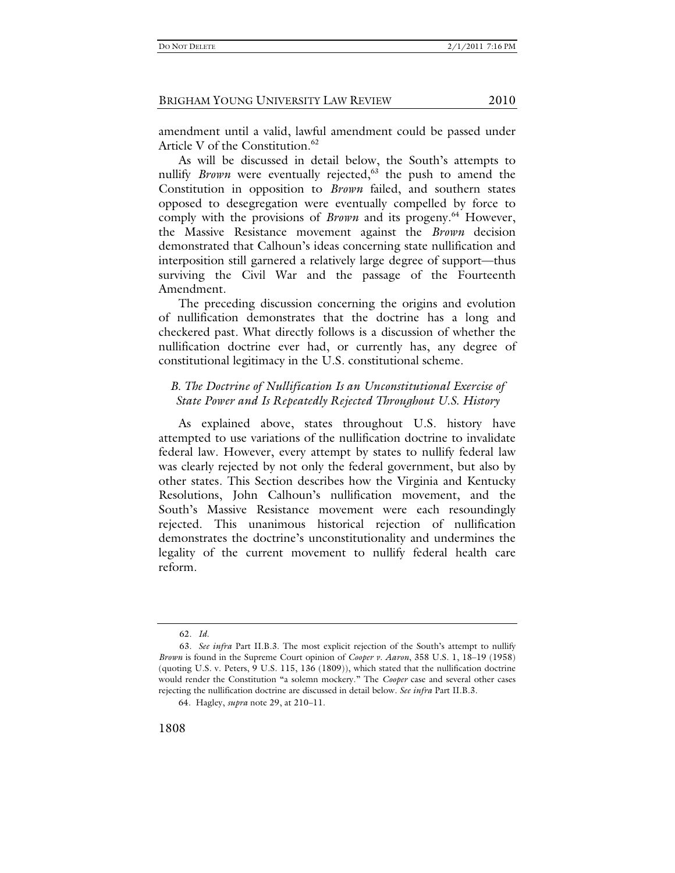amendment until a valid, lawful amendment could be passed under Article V of the Constitution.<sup>62</sup>

As will be discussed in detail below, the South's attempts to nullify *Brown* were eventually rejected,<sup>63</sup> the push to amend the Constitution in opposition to *Brown* failed, and southern states opposed to desegregation were eventually compelled by force to comply with the provisions of *Brown* and its progeny.<sup>64</sup> However, the Massive Resistance movement against the *Brown* decision demonstrated that Calhoun's ideas concerning state nullification and interposition still garnered a relatively large degree of support—thus surviving the Civil War and the passage of the Fourteenth Amendment.

The preceding discussion concerning the origins and evolution of nullification demonstrates that the doctrine has a long and checkered past. What directly follows is a discussion of whether the nullification doctrine ever had, or currently has, any degree of constitutional legitimacy in the U.S. constitutional scheme.

# *B. The Doctrine of Nullification Is an Unconstitutional Exercise of State Power and Is Repeatedly Rejected Throughout U.S. History*

As explained above, states throughout U.S. history have attempted to use variations of the nullification doctrine to invalidate federal law. However, every attempt by states to nullify federal law was clearly rejected by not only the federal government, but also by other states. This Section describes how the Virginia and Kentucky Resolutions, John Calhoun's nullification movement, and the South's Massive Resistance movement were each resoundingly rejected. This unanimous historical rejection of nullification demonstrates the doctrine's unconstitutionality and undermines the legality of the current movement to nullify federal health care reform.

 <sup>62.</sup> *Id.*

 <sup>63.</sup> *See infra* Part II.B.3. The most explicit rejection of the South's attempt to nullify *Brown* is found in the Supreme Court opinion of *Cooper v. Aaron*, 358 U.S. 1, 18–19 (1958) (quoting U.S. v. Peters, 9 U.S. 115, 136 (1809)), which stated that the nullification doctrine would render the Constitution "a solemn mockery." The *Cooper* case and several other cases rejecting the nullification doctrine are discussed in detail below. *See infra* Part II.B.3.

<sup>64.</sup> Hagley, *supra* note 29, at 210–11.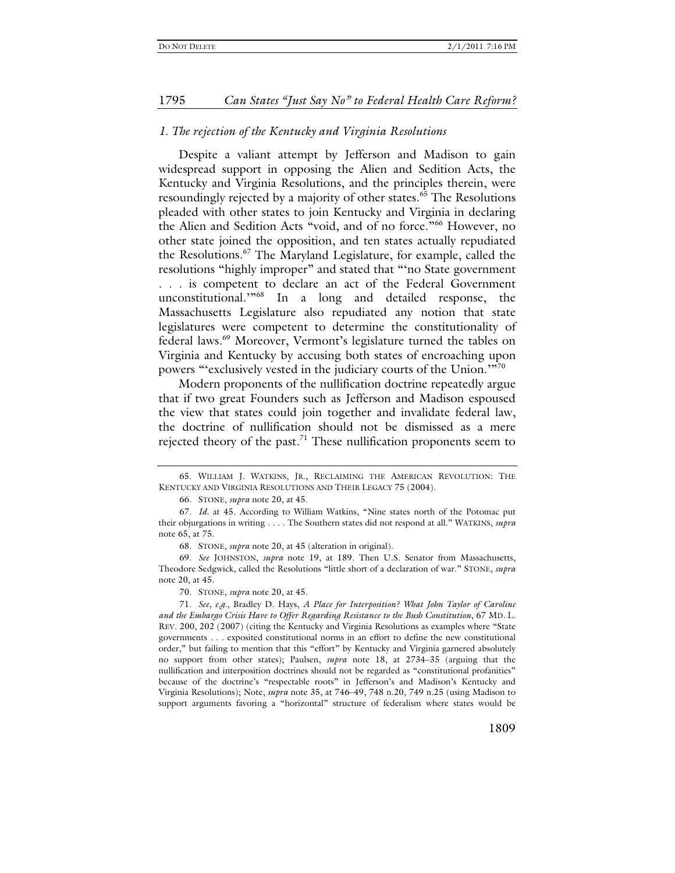#### *1. The rejection of the Kentucky and Virginia Resolutions*

Despite a valiant attempt by Jefferson and Madison to gain widespread support in opposing the Alien and Sedition Acts, the Kentucky and Virginia Resolutions, and the principles therein, were resoundingly rejected by a majority of other states.<sup>65</sup> The Resolutions pleaded with other states to join Kentucky and Virginia in declaring the Alien and Sedition Acts "void, and of no force."66 However, no other state joined the opposition, and ten states actually repudiated the Resolutions.67 The Maryland Legislature, for example, called the resolutions "highly improper" and stated that "'no State government . . . is competent to declare an act of the Federal Government unconstitutional."<sup>68</sup> In a long and detailed response, the Massachusetts Legislature also repudiated any notion that state legislatures were competent to determine the constitutionality of federal laws.69 Moreover, Vermont's legislature turned the tables on Virginia and Kentucky by accusing both states of encroaching upon powers "'exclusively vested in the judiciary courts of the Union.'"<sup>70</sup>

Modern proponents of the nullification doctrine repeatedly argue that if two great Founders such as Jefferson and Madison espoused the view that states could join together and invalidate federal law, the doctrine of nullification should not be dismissed as a mere rejected theory of the past.<sup>71</sup> These nullification proponents seem to

 <sup>65.</sup> WILLIAM J. WATKINS, JR., RECLAIMING THE AMERICAN REVOLUTION: THE KENTUCKY AND VIRGINIA RESOLUTIONS AND THEIR LEGACY 75 (2004).

 <sup>66.</sup> STONE, *supra* note 20, at 45.

 <sup>67.</sup> *Id.* at 45. According to William Watkins, "Nine states north of the Potomac put their objurgations in writing . . . . The Southern states did not respond at all." WATKINS, *supra* note 65, at 75.

 <sup>68.</sup> STONE, *supra* note 20, at 45 (alteration in original).

 <sup>69.</sup> *See* JOHNSTON, *supra* note 19, at 189. Then U.S. Senator from Massachusetts, Theodore Sedgwick, called the Resolutions "little short of a declaration of war." STONE, *supra* note 20, at 45.

 <sup>70.</sup> STONE, *supra* note 20, at 45.

 <sup>71.</sup> *See, e.g.*, Bradley D. Hays, *A Place for Interposition? What John Taylor of Caroline and the Embargo Crisis Have to Offer Regarding Resistance to the Bush Constitution*, 67 MD. L. REV. 200, 202 (2007) (citing the Kentucky and Virginia Resolutions as examples where "State governments . . . exposited constitutional norms in an effort to define the new constitutional order," but failing to mention that this "effort" by Kentucky and Virginia garnered absolutely no support from other states); Paulsen, *supra* note 18, at 2734–35 (arguing that the nullification and interposition doctrines should not be regarded as "constitutional profanities" because of the doctrine's "respectable roots" in Jefferson's and Madison's Kentucky and Virginia Resolutions); Note, *supra* note 35, at 746–49, 748 n.20, 749 n.25 (using Madison to support arguments favoring a "horizontal" structure of federalism where states would be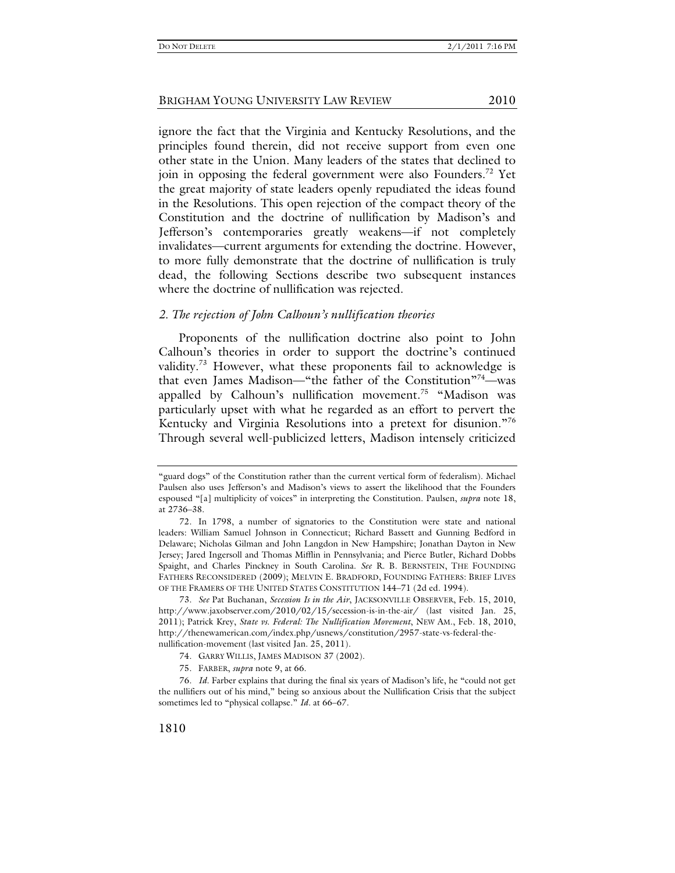ignore the fact that the Virginia and Kentucky Resolutions, and the principles found therein, did not receive support from even one other state in the Union. Many leaders of the states that declined to join in opposing the federal government were also Founders.<sup>72</sup> Yet the great majority of state leaders openly repudiated the ideas found in the Resolutions. This open rejection of the compact theory of the Constitution and the doctrine of nullification by Madison's and Jefferson's contemporaries greatly weakens—if not completely invalidates—current arguments for extending the doctrine. However, to more fully demonstrate that the doctrine of nullification is truly dead, the following Sections describe two subsequent instances where the doctrine of nullification was rejected.

#### *2. The rejection of John Calhoun's nullification theories*

Proponents of the nullification doctrine also point to John Calhoun's theories in order to support the doctrine's continued validity.<sup>73</sup> However, what these proponents fail to acknowledge is that even James Madison—"the father of the Constitution"<sup>74</sup>—was appalled by Calhoun's nullification movement.<sup>75</sup> "Madison was particularly upset with what he regarded as an effort to pervert the Kentucky and Virginia Resolutions into a pretext for disunion."76 Through several well-publicized letters, Madison intensely criticized

<sup>&</sup>quot;guard dogs" of the Constitution rather than the current vertical form of federalism). Michael Paulsen also uses Jefferson's and Madison's views to assert the likelihood that the Founders espoused "[a] multiplicity of voices" in interpreting the Constitution. Paulsen, *supra* note 18, at 2736–38.

 <sup>72.</sup> In 1798, a number of signatories to the Constitution were state and national leaders: William Samuel Johnson in Connecticut; Richard Bassett and Gunning Bedford in Delaware; Nicholas Gilman and John Langdon in New Hampshire; Jonathan Dayton in New Jersey; Jared Ingersoll and Thomas Mifflin in Pennsylvania; and Pierce Butler, Richard Dobbs Spaight, and Charles Pinckney in South Carolina. *See* R. B. BERNSTEIN, THE FOUNDING FATHERS RECONSIDERED (2009); MELVIN E. BRADFORD, FOUNDING FATHERS: BRIEF LIVES OF THE FRAMERS OF THE UNITED STATES CONSTITUTION 144–71 (2d ed. 1994).

 <sup>73.</sup> *See* Pat Buchanan, *Secession Is in the Air*, JACKSONVILLE OBSERVER, Feb. 15, 2010, http://www.jaxobserver.com/2010/02/15/secession-is-in-the-air/ (last visited Jan. 25, 2011); Patrick Krey, *State vs. Federal: The Nullification Movement*, NEW AM., Feb. 18, 2010, http://thenewamerican.com/index.php/usnews/constitution/2957-state-vs-federal-thenullification-movement (last visited Jan. 25, 2011).

 <sup>74.</sup> GARRY WILLIS, JAMES MADISON 37 (2002).

 <sup>75.</sup> FARBER, *supra* note 9, at 66.

 <sup>76.</sup> *Id.* Farber explains that during the final six years of Madison's life, he "could not get the nullifiers out of his mind," being so anxious about the Nullification Crisis that the subject sometimes led to "physical collapse." *Id.* at 66–67.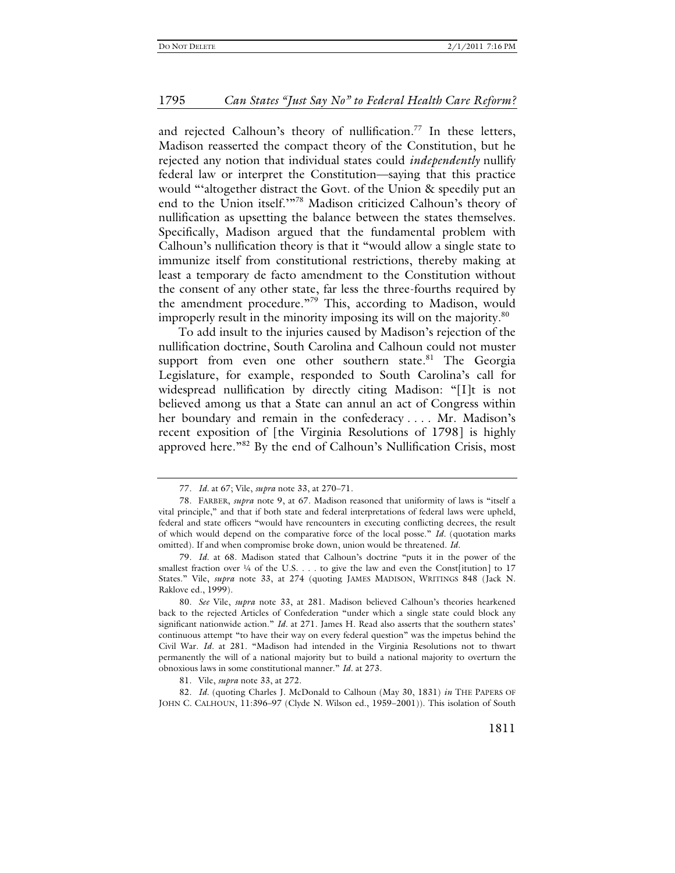and rejected Calhoun's theory of nullification.<sup>77</sup> In these letters, Madison reasserted the compact theory of the Constitution, but he rejected any notion that individual states could *independently* nullify federal law or interpret the Constitution—saying that this practice would "'altogether distract the Govt. of the Union & speedily put an end to the Union itself."<sup>78</sup> Madison criticized Calhoun's theory of nullification as upsetting the balance between the states themselves. Specifically, Madison argued that the fundamental problem with Calhoun's nullification theory is that it "would allow a single state to immunize itself from constitutional restrictions, thereby making at least a temporary de facto amendment to the Constitution without the consent of any other state, far less the three-fourths required by the amendment procedure."79 This, according to Madison, would improperly result in the minority imposing its will on the majority.<sup>80</sup>

To add insult to the injuries caused by Madison's rejection of the nullification doctrine, South Carolina and Calhoun could not muster support from even one other southern state.<sup>81</sup> The Georgia Legislature, for example, responded to South Carolina's call for widespread nullification by directly citing Madison: "[I]t is not believed among us that a State can annul an act of Congress within her boundary and remain in the confederacy .... Mr. Madison's recent exposition of [the Virginia Resolutions of 1798] is highly approved here."82 By the end of Calhoun's Nullification Crisis, most

 <sup>77.</sup> *Id.* at 67; Vile, *supra* note 33, at 270–71.

 <sup>78.</sup> FARBER, *supra* note 9, at 67. Madison reasoned that uniformity of laws is "itself a vital principle," and that if both state and federal interpretations of federal laws were upheld, federal and state officers "would have rencounters in executing conflicting decrees, the result of which would depend on the comparative force of the local posse." *Id.* (quotation marks omitted). If and when compromise broke down, union would be threatened. *Id.*

 <sup>79.</sup> *Id.* at 68. Madison stated that Calhoun's doctrine "puts it in the power of the smallest fraction over  $\frac{1}{4}$  of the U.S. . . . to give the law and even the Const[itution] to 17 States." Vile, *supra* note 33, at 274 (quoting JAMES MADISON, WRITINGS 848 (Jack N. Raklove ed., 1999).

 <sup>80.</sup> *See* Vile, *supra* note 33, at 281. Madison believed Calhoun's theories hearkened back to the rejected Articles of Confederation "under which a single state could block any significant nationwide action." *Id.* at 271. James H. Read also asserts that the southern states' continuous attempt "to have their way on every federal question" was the impetus behind the Civil War. *Id.* at 281. "Madison had intended in the Virginia Resolutions not to thwart permanently the will of a national majority but to build a national majority to overturn the obnoxious laws in some constitutional manner." *Id.* at 273.

 <sup>81.</sup> Vile, *supra* note 33, at 272.

 <sup>82.</sup> *Id.* (quoting Charles J. McDonald to Calhoun (May 30, 1831) *in* THE PAPERS OF JOHN C. CALHOUN, 11:396–97 (Clyde N. Wilson ed., 1959–2001)). This isolation of South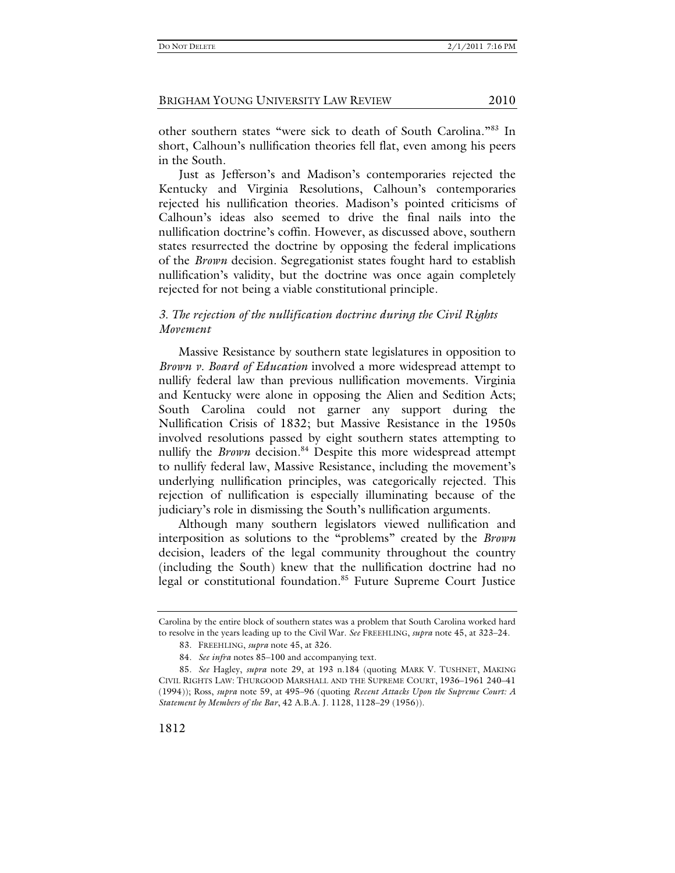other southern states "were sick to death of South Carolina."83 In short, Calhoun's nullification theories fell flat, even among his peers in the South.

Just as Jefferson's and Madison's contemporaries rejected the Kentucky and Virginia Resolutions, Calhoun's contemporaries rejected his nullification theories. Madison's pointed criticisms of Calhoun's ideas also seemed to drive the final nails into the nullification doctrine's coffin. However, as discussed above, southern states resurrected the doctrine by opposing the federal implications of the *Brown* decision. Segregationist states fought hard to establish nullification's validity, but the doctrine was once again completely rejected for not being a viable constitutional principle.

# *3. The rejection of the nullification doctrine during the Civil Rights Movement*

Massive Resistance by southern state legislatures in opposition to *Brown v. Board of Education* involved a more widespread attempt to nullify federal law than previous nullification movements. Virginia and Kentucky were alone in opposing the Alien and Sedition Acts; South Carolina could not garner any support during the Nullification Crisis of 1832; but Massive Resistance in the 1950s involved resolutions passed by eight southern states attempting to nullify the *Brown* decision.<sup>84</sup> Despite this more widespread attempt to nullify federal law, Massive Resistance, including the movement's underlying nullification principles, was categorically rejected. This rejection of nullification is especially illuminating because of the judiciary's role in dismissing the South's nullification arguments.

Although many southern legislators viewed nullification and interposition as solutions to the "problems" created by the *Brown* decision, leaders of the legal community throughout the country (including the South) knew that the nullification doctrine had no legal or constitutional foundation.<sup>85</sup> Future Supreme Court Justice

Carolina by the entire block of southern states was a problem that South Carolina worked hard to resolve in the years leading up to the Civil War. *See* FREEHLING, *supra* note 45, at 323–24.

 <sup>83.</sup> FREEHLING, *supra* note 45, at 326.

 <sup>84.</sup> *See infra* notes 85–100 and accompanying text.

 <sup>85.</sup> *See* Hagley, *supra* note 29, at 193 n.184 (quoting MARK V. TUSHNET, MAKING CIVIL RIGHTS LAW: THURGOOD MARSHALL AND THE SUPREME COURT, 1936–1961 240–41 (1994)); Ross, *supra* note 59, at 495–96 (quoting *Recent Attacks Upon the Supreme Court: A Statement by Members of the Bar*, 42 A.B.A. J. 1128, 1128–29 (1956)).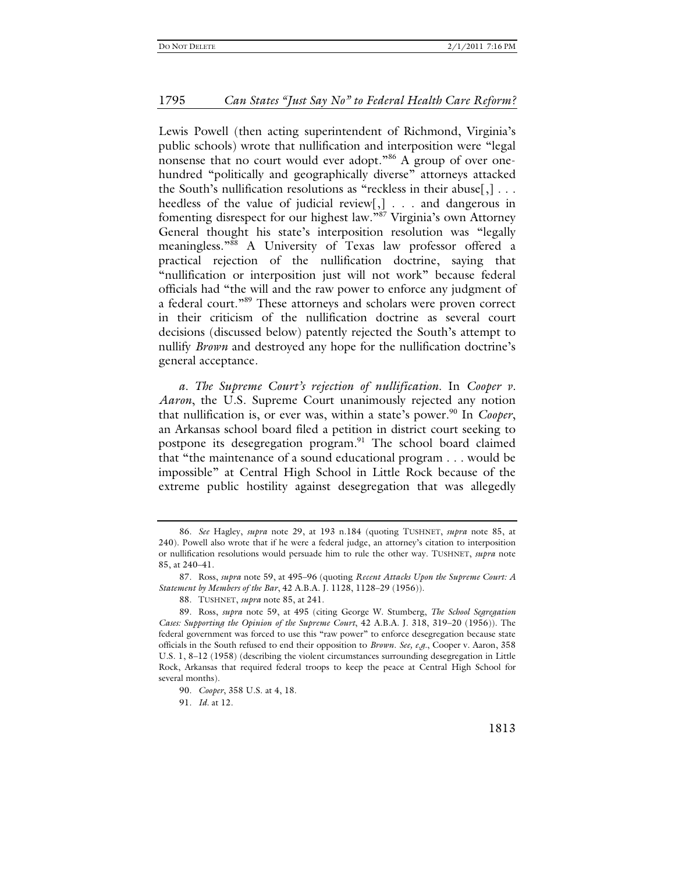Lewis Powell (then acting superintendent of Richmond, Virginia's public schools) wrote that nullification and interposition were "legal nonsense that no court would ever adopt."<sup>86</sup> A group of over onehundred "politically and geographically diverse" attorneys attacked the South's nullification resolutions as "reckless in their abuse[,] . . . heedless of the value of judicial review[,] . . . and dangerous in fomenting disrespect for our highest law."87 Virginia's own Attorney General thought his state's interposition resolution was "legally meaningless."88 A University of Texas law professor offered a practical rejection of the nullification doctrine, saying that "nullification or interposition just will not work" because federal officials had "the will and the raw power to enforce any judgment of a federal court."<sup>89</sup> These attorneys and scholars were proven correct in their criticism of the nullification doctrine as several court decisions (discussed below) patently rejected the South's attempt to nullify *Brown* and destroyed any hope for the nullification doctrine's general acceptance.

*a. The Supreme Court's rejection of nullification*. In *Cooper v. Aaron*, the U.S. Supreme Court unanimously rejected any notion that nullification is, or ever was, within a state's power.<sup>90</sup> In *Cooper*, an Arkansas school board filed a petition in district court seeking to postpone its desegregation program.<sup>91</sup> The school board claimed that "the maintenance of a sound educational program . . . would be impossible" at Central High School in Little Rock because of the extreme public hostility against desegregation that was allegedly

 <sup>86.</sup> *See* Hagley, *supra* note 29, at 193 n.184 (quoting TUSHNET, *supra* note 85, at 240). Powell also wrote that if he were a federal judge, an attorney's citation to interposition or nullification resolutions would persuade him to rule the other way. TUSHNET, *supra* note 85, at 240–41.

 <sup>87.</sup> Ross, *supra* note 59, at 495–96 (quoting *Recent Attacks Upon the Supreme Court: A Statement by Members of the Bar*, 42 A.B.A. J. 1128, 1128–29 (1956)).

 <sup>88.</sup> TUSHNET, *supra* note 85, at 241.

 <sup>89.</sup> Ross, *supra* note 59, at 495 (citing George W. Stumberg, *The School Segregation Cases: Supporting the Opinion of the Supreme Court*, 42 A.B.A. J. 318, 319–20 (1956)). The federal government was forced to use this "raw power" to enforce desegregation because state officials in the South refused to end their opposition to *Brown*. *See, e.g.*, Cooper v. Aaron, 358 U.S. 1, 8–12 (1958) (describing the violent circumstances surrounding desegregation in Little Rock, Arkansas that required federal troops to keep the peace at Central High School for several months).

 <sup>90.</sup> *Cooper*, 358 U.S. at 4, 18.

 <sup>91.</sup> *Id.* at 12.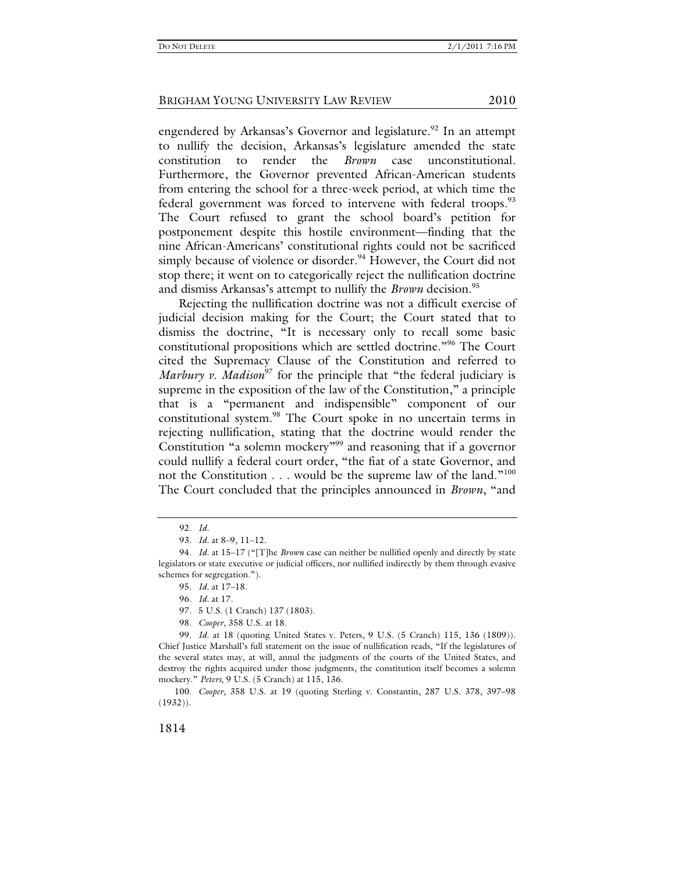engendered by Arkansas's Governor and legislature.<sup>92</sup> In an attempt to nullify the decision, Arkansas's legislature amended the state constitution to render the *Brown* case unconstitutional. Furthermore, the Governor prevented African-American students from entering the school for a three-week period, at which time the federal government was forced to intervene with federal troops.<sup>93</sup> The Court refused to grant the school board's petition for postponement despite this hostile environment—finding that the nine African-Americans' constitutional rights could not be sacrificed simply because of violence or disorder.<sup>94</sup> However, the Court did not stop there; it went on to categorically reject the nullification doctrine and dismiss Arkansas's attempt to nullify the *Brown* decision.<sup>95</sup>

Rejecting the nullification doctrine was not a difficult exercise of judicial decision making for the Court; the Court stated that to dismiss the doctrine, "It is necessary only to recall some basic constitutional propositions which are settled doctrine."96 The Court cited the Supremacy Clause of the Constitution and referred to *Marbury v. Madison*<sup>97</sup> for the principle that "the federal judiciary is supreme in the exposition of the law of the Constitution," a principle that is a "permanent and indispensible" component of our constitutional system.98 The Court spoke in no uncertain terms in rejecting nullification, stating that the doctrine would render the Constitution "a solemn mockery"<sup>99</sup> and reasoning that if a governor could nullify a federal court order, "the fiat of a state Governor, and not the Constitution . . . would be the supreme law of the land."<sup>100</sup> The Court concluded that the principles announced in *Brown*, "and

98. *Cooper*, 358 U.S. at 18.

 <sup>92.</sup> *Id.*

 <sup>93.</sup> *Id.* at 8–9, 11–12.

 <sup>94.</sup> *Id.* at 15–17 ("[T]he *Brown* case can neither be nullified openly and directly by state legislators or state executive or judicial officers, nor nullified indirectly by them through evasive schemes for segregation.").

 <sup>95.</sup> *Id.* at 17–18.

 <sup>96.</sup> *Id.* at 17.

 <sup>97. 5</sup> U.S. (1 Cranch) 137 (1803).

 <sup>99.</sup> *Id.* at 18 (quoting United States v. Peters, 9 U.S. (5 Cranch) 115, 136 (1809)). Chief Justice Marshall's full statement on the issue of nullification reads, "If the legislatures of the several states may, at will, annul the judgments of the courts of the United States, and destroy the rights acquired under those judgments, the constitution itself becomes a solemn mockery." *Peters*, 9 U.S. (5 Cranch) at 115, 136.

 <sup>100.</sup> *Cooper*, 358 U.S. at 19 (quoting Sterling v. Constantin, 287 U.S. 378, 397–98 (1932)).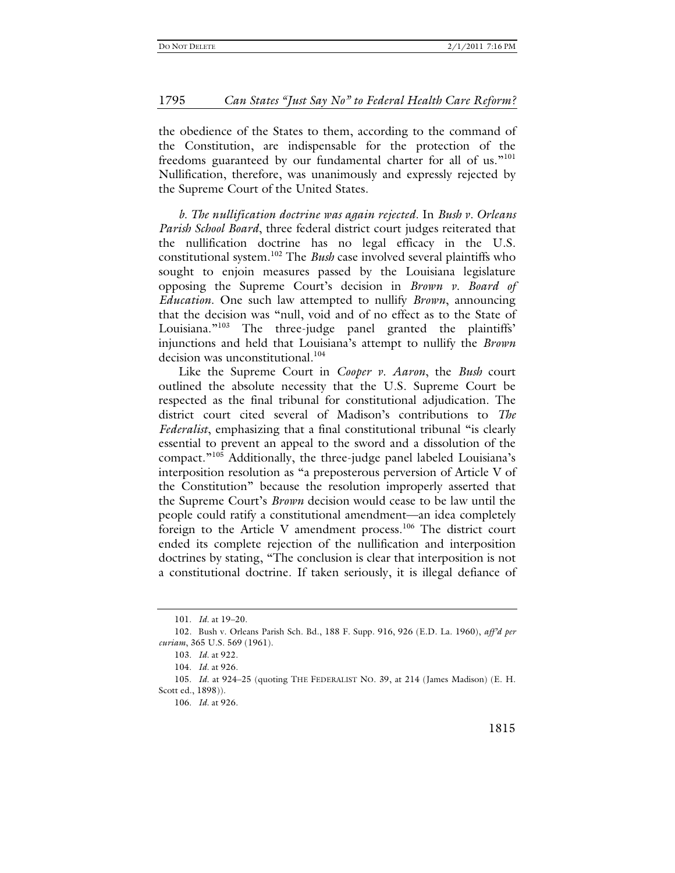the obedience of the States to them, according to the command of the Constitution, are indispensable for the protection of the freedoms guaranteed by our fundamental charter for all of us."<sup>101</sup> Nullification, therefore, was unanimously and expressly rejected by the Supreme Court of the United States.

*b. The nullification doctrine was again rejected*. In *Bush v. Orleans Parish School Board*, three federal district court judges reiterated that the nullification doctrine has no legal efficacy in the U.S. constitutional system.102 The *Bush* case involved several plaintiffs who sought to enjoin measures passed by the Louisiana legislature opposing the Supreme Court's decision in *Brown v. Board of Education*. One such law attempted to nullify *Brown*, announcing that the decision was "null, void and of no effect as to the State of Louisiana."<sup>103</sup> The three-judge panel granted the plaintiffs' injunctions and held that Louisiana's attempt to nullify the *Brown* decision was unconstitutional.<sup>104</sup>

Like the Supreme Court in *Cooper v. Aaron*, the *Bush* court outlined the absolute necessity that the U.S. Supreme Court be respected as the final tribunal for constitutional adjudication. The district court cited several of Madison's contributions to *The Federalist*, emphasizing that a final constitutional tribunal "is clearly essential to prevent an appeal to the sword and a dissolution of the compact."105 Additionally, the three-judge panel labeled Louisiana's interposition resolution as "a preposterous perversion of Article V of the Constitution" because the resolution improperly asserted that the Supreme Court's *Brown* decision would cease to be law until the people could ratify a constitutional amendment—an idea completely foreign to the Article V amendment process.<sup>106</sup> The district court ended its complete rejection of the nullification and interposition doctrines by stating, "The conclusion is clear that interposition is not a constitutional doctrine. If taken seriously, it is illegal defiance of

 <sup>101.</sup> *Id.* at 19–20.

 <sup>102.</sup> Bush v. Orleans Parish Sch. Bd., 188 F. Supp. 916, 926 (E.D. La. 1960), *aff'd per curiam*, 365 U.S. 569 (1961).

 <sup>103.</sup> *Id.* at 922.

 <sup>104.</sup> *Id.* at 926.

 <sup>105.</sup> *Id.* at 924–25 (quoting THE FEDERALIST NO. 39, at 214 (James Madison) (E. H. Scott ed., 1898)).

 <sup>106.</sup> *Id.* at 926.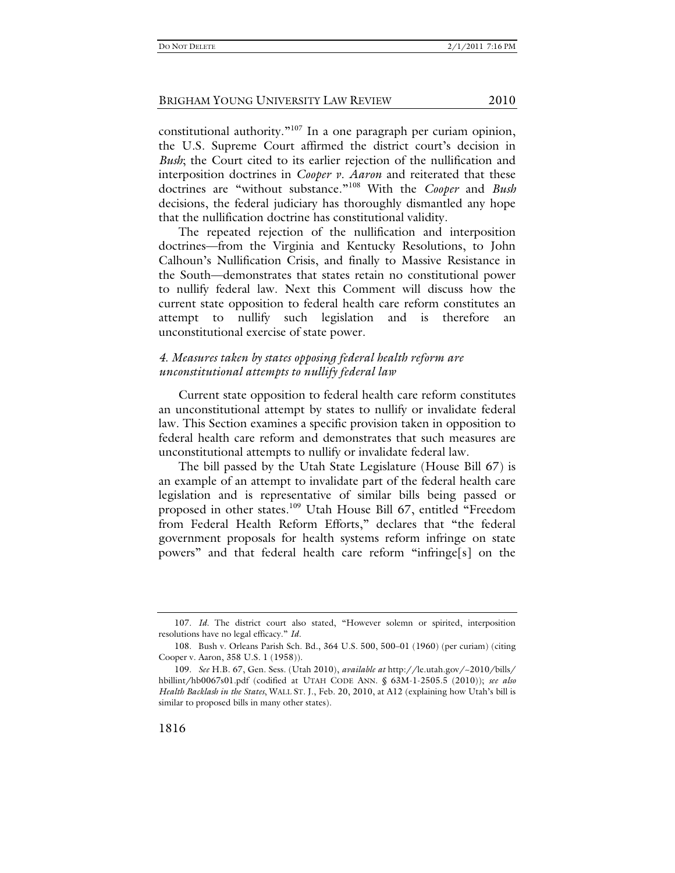constitutional authority."<sup>107</sup> In a one paragraph per curiam opinion, the U.S. Supreme Court affirmed the district court's decision in *Bush*; the Court cited to its earlier rejection of the nullification and interposition doctrines in *Cooper v. Aaron* and reiterated that these doctrines are "without substance."108 With the *Cooper* and *Bush* decisions, the federal judiciary has thoroughly dismantled any hope that the nullification doctrine has constitutional validity.

The repeated rejection of the nullification and interposition doctrines—from the Virginia and Kentucky Resolutions, to John Calhoun's Nullification Crisis, and finally to Massive Resistance in the South—demonstrates that states retain no constitutional power to nullify federal law. Next this Comment will discuss how the current state opposition to federal health care reform constitutes an attempt to nullify such legislation and is therefore an unconstitutional exercise of state power.

# *4. Measures taken by states opposing federal health reform are unconstitutional attempts to nullify federal law*

Current state opposition to federal health care reform constitutes an unconstitutional attempt by states to nullify or invalidate federal law. This Section examines a specific provision taken in opposition to federal health care reform and demonstrates that such measures are unconstitutional attempts to nullify or invalidate federal law.

The bill passed by the Utah State Legislature (House Bill 67) is an example of an attempt to invalidate part of the federal health care legislation and is representative of similar bills being passed or proposed in other states.<sup>109</sup> Utah House Bill 67, entitled "Freedom from Federal Health Reform Efforts," declares that "the federal government proposals for health systems reform infringe on state powers" and that federal health care reform "infringe[s] on the

 <sup>107.</sup> *Id.* The district court also stated, "However solemn or spirited, interposition resolutions have no legal efficacy." *Id.*

 <sup>108.</sup> Bush v. Orleans Parish Sch. Bd., 364 U.S. 500, 500–01 (1960) (per curiam) (citing Cooper v. Aaron, 358 U.S. 1 (1958)).

 <sup>109.</sup> *See* H.B. 67, Gen. Sess. (Utah 2010), *available at* http://le.utah.gov/~2010/bills/ hbillint/hb0067s01.pdf (codified at UTAH CODE ANN. § 63M-1-2505.5 (2010)); *see also Health Backlash in the States*, WALL ST. J., Feb. 20, 2010, at A12 (explaining how Utah's bill is similar to proposed bills in many other states).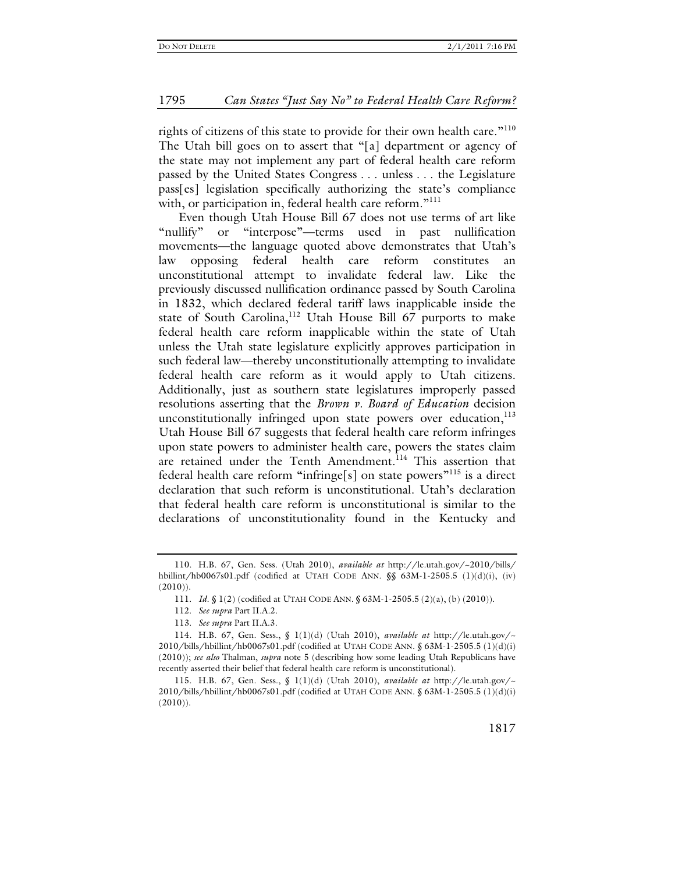rights of citizens of this state to provide for their own health care."<sup>110</sup> The Utah bill goes on to assert that "[a] department or agency of the state may not implement any part of federal health care reform passed by the United States Congress . . . unless . . . the Legislature pass[es] legislation specifically authorizing the state's compliance with, or participation in, federal health care reform."<sup>111</sup>

Even though Utah House Bill 67 does not use terms of art like "nullify" or "interpose"—terms used in past nullification movements—the language quoted above demonstrates that Utah's law opposing federal health care reform constitutes an unconstitutional attempt to invalidate federal law. Like the previously discussed nullification ordinance passed by South Carolina in 1832, which declared federal tariff laws inapplicable inside the state of South Carolina,<sup>112</sup> Utah House Bill 67 purports to make federal health care reform inapplicable within the state of Utah unless the Utah state legislature explicitly approves participation in such federal law—thereby unconstitutionally attempting to invalidate federal health care reform as it would apply to Utah citizens. Additionally, just as southern state legislatures improperly passed resolutions asserting that the *Brown v. Board of Education* decision unconstitutionally infringed upon state powers over education, $113$ Utah House Bill 67 suggests that federal health care reform infringes upon state powers to administer health care, powers the states claim are retained under the Tenth Amendment.<sup>114</sup> This assertion that federal health care reform "infringe[s] on state powers"115 is a direct declaration that such reform is unconstitutional. Utah's declaration that federal health care reform is unconstitutional is similar to the declarations of unconstitutionality found in the Kentucky and

 <sup>110.</sup> H.B. 67, Gen. Sess. (Utah 2010), *available at* http://le.utah.gov/~2010/bills/ hbillint/hb0067s01.pdf (codified at UTAH CODE ANN.  $\frac{\sqrt{8}}{8}$  63M-1-2505.5 (1)(d)(i), (iv)  $(2010)$ ).

 <sup>111.</sup> *Id.* § 1(2) (codified at UTAH CODE ANN. § 63M-1-2505.5 (2)(a), (b) (2010)).

 <sup>112.</sup> *See supra* Part II.A.2.

 <sup>113.</sup> *See supra* Part II.A.3.

 <sup>114.</sup> H.B. 67, Gen. Sess., § 1(1)(d) (Utah 2010), *available at* http://le.utah.gov/~  $2010/b$ ills/hbillint/hb0067s01.pdf (codified at UTAH CODE ANN. § 63M-1-2505.5 (1)(d)(i) (2010)); *see also* Thalman, *supra* note 5 (describing how some leading Utah Republicans have recently asserted their belief that federal health care reform is unconstitutional).

 <sup>115.</sup> H.B. 67, Gen. Sess., § 1(1)(d) (Utah 2010), *available at* http://le.utah.gov/~ 2010/bills/hbillint/hb0067s01.pdf (codified at UTAH CODE ANN. § 63M-1-2505.5 (1)(d)(i)  $(2010)$ ).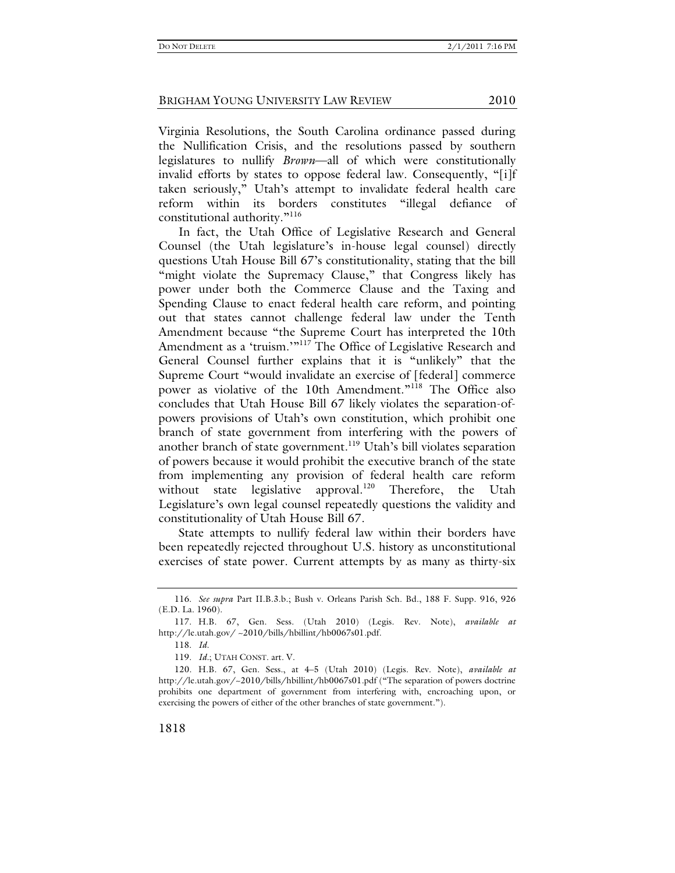Virginia Resolutions, the South Carolina ordinance passed during the Nullification Crisis, and the resolutions passed by southern legislatures to nullify *Brown*—all of which were constitutionally invalid efforts by states to oppose federal law. Consequently, "[i]f taken seriously," Utah's attempt to invalidate federal health care reform within its borders constitutes "illegal defiance of constitutional authority."<sup>116</sup>

In fact, the Utah Office of Legislative Research and General Counsel (the Utah legislature's in-house legal counsel) directly questions Utah House Bill 67's constitutionality, stating that the bill "might violate the Supremacy Clause," that Congress likely has power under both the Commerce Clause and the Taxing and Spending Clause to enact federal health care reform, and pointing out that states cannot challenge federal law under the Tenth Amendment because "the Supreme Court has interpreted the 10th Amendment as a 'truism.'"<sup>117</sup> The Office of Legislative Research and General Counsel further explains that it is "unlikely" that the Supreme Court "would invalidate an exercise of [federal] commerce power as violative of the 10th Amendment."<sup>118</sup> The Office also concludes that Utah House Bill 67 likely violates the separation-ofpowers provisions of Utah's own constitution, which prohibit one branch of state government from interfering with the powers of another branch of state government.<sup>119</sup> Utah's bill violates separation of powers because it would prohibit the executive branch of the state from implementing any provision of federal health care reform without state legislative approval.<sup>120</sup> Therefore, the Utah Legislature's own legal counsel repeatedly questions the validity and constitutionality of Utah House Bill 67.

State attempts to nullify federal law within their borders have been repeatedly rejected throughout U.S. history as unconstitutional exercises of state power. Current attempts by as many as thirty-six

118. *Id.*

119. *Id.*; UTAH CONST. art. V.

 <sup>116.</sup> *See supra* Part II.B.3.b.; Bush v. Orleans Parish Sch. Bd., 188 F. Supp. 916, 926 (E.D. La. 1960).

 <sup>117.</sup> H.B. 67, Gen. Sess. (Utah 2010) (Legis. Rev. Note), *available at* http://le.utah.gov/ ~2010/bills/hbillint/hb0067s01.pdf.

 <sup>120.</sup> H.B. 67, Gen. Sess., at 4–5 (Utah 2010) (Legis. Rev. Note), *available at* http://le.utah.gov/~2010/bills/hbillint/hb0067s01.pdf ("The separation of powers doctrine prohibits one department of government from interfering with, encroaching upon, or exercising the powers of either of the other branches of state government.").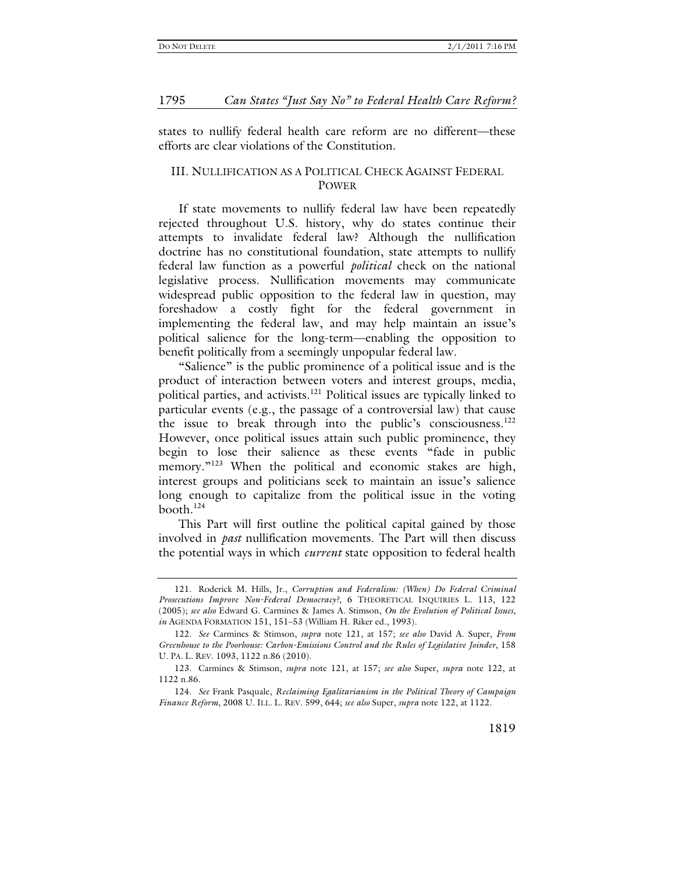states to nullify federal health care reform are no different—these efforts are clear violations of the Constitution.

# III. NULLIFICATION AS A POLITICAL CHECK AGAINST FEDERAL POWER

If state movements to nullify federal law have been repeatedly rejected throughout U.S. history, why do states continue their attempts to invalidate federal law? Although the nullification doctrine has no constitutional foundation, state attempts to nullify federal law function as a powerful *political* check on the national legislative process. Nullification movements may communicate widespread public opposition to the federal law in question, may foreshadow a costly fight for the federal government in implementing the federal law, and may help maintain an issue's political salience for the long-term—enabling the opposition to benefit politically from a seemingly unpopular federal law.

"Salience" is the public prominence of a political issue and is the product of interaction between voters and interest groups, media, political parties, and activists.<sup>121</sup> Political issues are typically linked to particular events (e.g., the passage of a controversial law) that cause the issue to break through into the public's consciousness.<sup>122</sup> However, once political issues attain such public prominence, they begin to lose their salience as these events "fade in public memory."<sup>123</sup> When the political and economic stakes are high, interest groups and politicians seek to maintain an issue's salience long enough to capitalize from the political issue in the voting booth. $124$ 

This Part will first outline the political capital gained by those involved in *past* nullification movements. The Part will then discuss the potential ways in which *current* state opposition to federal health

 <sup>121.</sup> Roderick M. Hills, Jr., *Corruption and Federalism: (When) Do Federal Criminal Prosecutions Improve Non-Federal Democracy?*, 6 THEORETICAL INQUIRIES L. 113, 122 (2005); *see also* Edward G. Carmines & James A. Stimson, *On the Evolution of Political Issues*, *in* AGENDA FORMATION 151, 151–53 (William H. Riker ed., 1993).

 <sup>122.</sup> *See* Carmines & Stimson, *supra* note 121, at 157; *see also* David A. Super, *From Greenhouse to the Poorhouse: Carbon-Emissions Control and the Rules of Legislative Joinder*, 158 U. PA. L. REV. 1093, 1122 n.86 (2010).

 <sup>123.</sup> Carmines & Stimson, *supra* note 121, at 157; *see also* Super, *supra* note 122, at 1122 n.86.

 <sup>124.</sup> *See* Frank Pasquale, *Reclaiming Egalitarianism in the Political Theory of Campaign Finance Reform*, 2008 U. ILL. L. REV. 599, 644; *see also* Super, *supra* note 122, at 1122.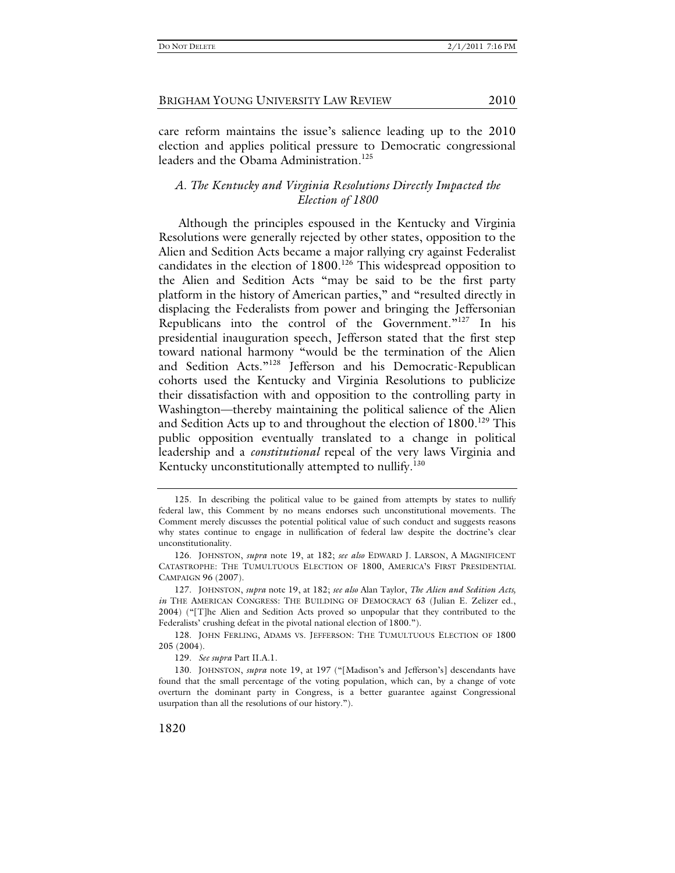care reform maintains the issue's salience leading up to the 2010 election and applies political pressure to Democratic congressional leaders and the Obama Administration.<sup>125</sup>

# *A. The Kentucky and Virginia Resolutions Directly Impacted the Election of 1800*

Although the principles espoused in the Kentucky and Virginia Resolutions were generally rejected by other states, opposition to the Alien and Sedition Acts became a major rallying cry against Federalist candidates in the election of 1800.<sup>126</sup> This widespread opposition to the Alien and Sedition Acts "may be said to be the first party platform in the history of American parties," and "resulted directly in displacing the Federalists from power and bringing the Jeffersonian Republicans into the control of the Government."<sup>127</sup> In his presidential inauguration speech, Jefferson stated that the first step toward national harmony "would be the termination of the Alien and Sedition Acts."128 Jefferson and his Democratic-Republican cohorts used the Kentucky and Virginia Resolutions to publicize their dissatisfaction with and opposition to the controlling party in Washington—thereby maintaining the political salience of the Alien and Sedition Acts up to and throughout the election of  $1800$ .<sup>129</sup> This public opposition eventually translated to a change in political leadership and a *constitutional* repeal of the very laws Virginia and Kentucky unconstitutionally attempted to nullify.<sup>130</sup>

 <sup>125.</sup> In describing the political value to be gained from attempts by states to nullify federal law, this Comment by no means endorses such unconstitutional movements. The Comment merely discusses the potential political value of such conduct and suggests reasons why states continue to engage in nullification of federal law despite the doctrine's clear unconstitutionality.

 <sup>126.</sup> JOHNSTON, *supra* note 19, at 182; *see also* EDWARD J. LARSON, A MAGNIFICENT CATASTROPHE: THE TUMULTUOUS ELECTION OF 1800, AMERICA'S FIRST PRESIDENTIAL CAMPAIGN 96 (2007).

 <sup>127.</sup> JOHNSTON, *supra* note 19, at 182; *see also* Alan Taylor, *The Alien and Sedition Acts, in* THE AMERICAN CONGRESS: THE BUILDING OF DEMOCRACY 63 (Julian E. Zelizer ed., 2004) ("[T]he Alien and Sedition Acts proved so unpopular that they contributed to the Federalists' crushing defeat in the pivotal national election of 1800.").

 <sup>128.</sup> JOHN FERLING, ADAMS VS. JEFFERSON: THE TUMULTUOUS ELECTION OF 1800 205 (2004).

 <sup>129.</sup> *See supra* Part II.A.1.

 <sup>130.</sup> JOHNSTON, *supra* note 19, at 197 ("[Madison's and Jefferson's] descendants have found that the small percentage of the voting population, which can, by a change of vote overturn the dominant party in Congress, is a better guarantee against Congressional usurpation than all the resolutions of our history.").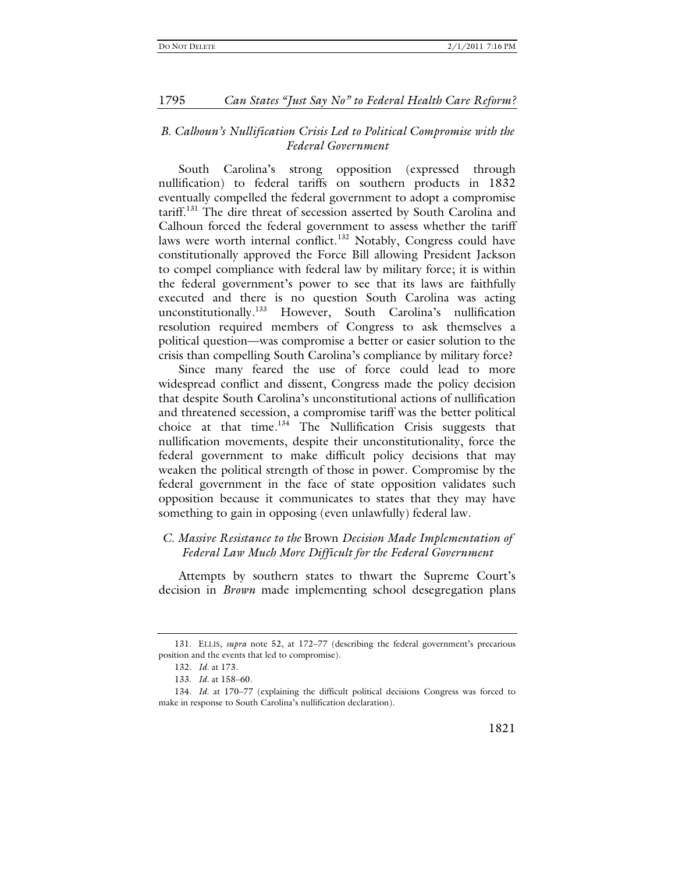# *B. Calhoun's Nullification Crisis Led to Political Compromise with the Federal Government*

South Carolina's strong opposition (expressed through nullification) to federal tariffs on southern products in 1832 eventually compelled the federal government to adopt a compromise tariff.<sup>131</sup> The dire threat of secession asserted by South Carolina and Calhoun forced the federal government to assess whether the tariff laws were worth internal conflict.<sup>132</sup> Notably, Congress could have constitutionally approved the Force Bill allowing President Jackson to compel compliance with federal law by military force; it is within the federal government's power to see that its laws are faithfully executed and there is no question South Carolina was acting unconstitutionally.<sup>133</sup> However, South Carolina's nullification resolution required members of Congress to ask themselves a political question—was compromise a better or easier solution to the crisis than compelling South Carolina's compliance by military force?

Since many feared the use of force could lead to more widespread conflict and dissent, Congress made the policy decision that despite South Carolina's unconstitutional actions of nullification and threatened secession, a compromise tariff was the better political choice at that time.<sup>134</sup> The Nullification Crisis suggests that nullification movements, despite their unconstitutionality, force the federal government to make difficult policy decisions that may weaken the political strength of those in power. Compromise by the federal government in the face of state opposition validates such opposition because it communicates to states that they may have something to gain in opposing (even unlawfully) federal law.

# *C. Massive Resistance to the* Brown *Decision Made Implementation of Federal Law Much More Difficult for the Federal Government*

Attempts by southern states to thwart the Supreme Court's decision in *Brown* made implementing school desegregation plans

 <sup>131.</sup> ELLIS, *supra* note 52, at 172–77 (describing the federal government's precarious position and the events that led to compromise).

 <sup>132.</sup> *Id.* at 173.

 <sup>133.</sup> *Id.* at 158–60.

 <sup>134.</sup> *Id.* at 170–77 (explaining the difficult political decisions Congress was forced to make in response to South Carolina's nullification declaration).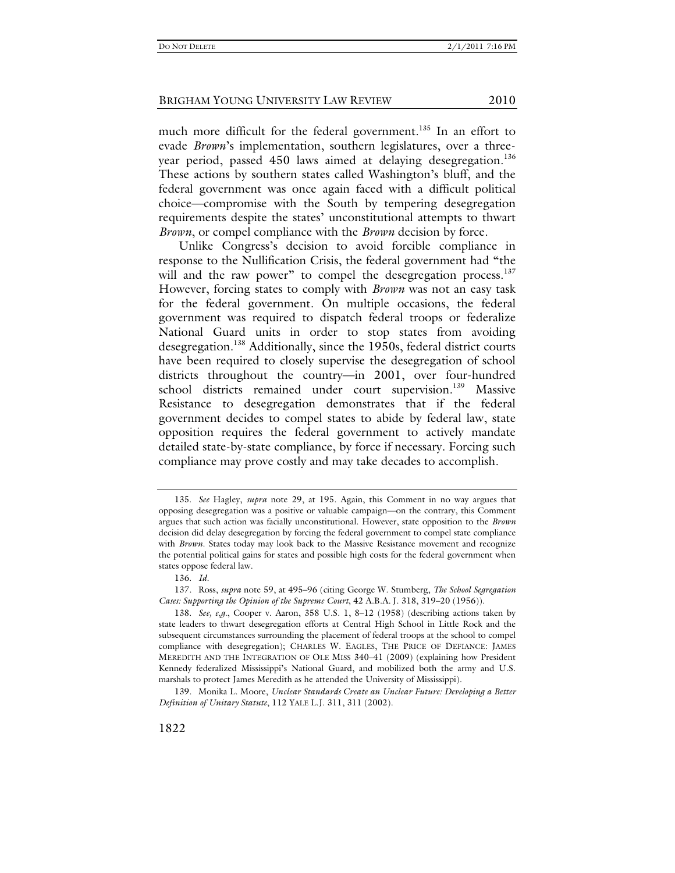much more difficult for the federal government.<sup>135</sup> In an effort to evade *Brown*'s implementation, southern legislatures, over a threeyear period, passed 450 laws aimed at delaying desegregation.<sup>136</sup> These actions by southern states called Washington's bluff, and the federal government was once again faced with a difficult political choice—compromise with the South by tempering desegregation requirements despite the states' unconstitutional attempts to thwart *Brown*, or compel compliance with the *Brown* decision by force.

Unlike Congress's decision to avoid forcible compliance in response to the Nullification Crisis, the federal government had "the will and the raw power" to compel the desegregation process.<sup>137</sup> However, forcing states to comply with *Brown* was not an easy task for the federal government. On multiple occasions, the federal government was required to dispatch federal troops or federalize National Guard units in order to stop states from avoiding desegregation.<sup>138</sup> Additionally, since the 1950s, federal district courts have been required to closely supervise the desegregation of school districts throughout the country—in 2001, over four-hundred school districts remained under court supervision.<sup>139</sup> Massive Resistance to desegregation demonstrates that if the federal government decides to compel states to abide by federal law, state opposition requires the federal government to actively mandate detailed state-by-state compliance, by force if necessary. Forcing such compliance may prove costly and may take decades to accomplish.

 <sup>135.</sup> *See* Hagley, *supra* note 29, at 195. Again, this Comment in no way argues that opposing desegregation was a positive or valuable campaign—on the contrary, this Comment argues that such action was facially unconstitutional. However, state opposition to the *Brown* decision did delay desegregation by forcing the federal government to compel state compliance with *Brown*. States today may look back to the Massive Resistance movement and recognize the potential political gains for states and possible high costs for the federal government when states oppose federal law.

 <sup>136.</sup> *Id.*

 <sup>137.</sup> Ross, *supra* note 59, at 495–96 (citing George W. Stumberg, *The School Segregation Cases: Supporting the Opinion of the Supreme Court*, 42 A.B.A. J. 318, 319–20 (1956)).

 <sup>138.</sup> *See, e.g.*, Cooper v. Aaron, 358 U.S. 1, 8–12 (1958) (describing actions taken by state leaders to thwart desegregation efforts at Central High School in Little Rock and the subsequent circumstances surrounding the placement of federal troops at the school to compel compliance with desegregation); CHARLES W. EAGLES, THE PRICE OF DEFIANCE: JAMES MEREDITH AND THE INTEGRATION OF OLE MISS 340–41 (2009) (explaining how President Kennedy federalized Mississippi's National Guard, and mobilized both the army and U.S. marshals to protect James Meredith as he attended the University of Mississippi).

 <sup>139.</sup> Monika L. Moore, *Unclear Standards Create an Unclear Future: Developing a Better Definition of Unitary Statute*, 112 YALE L.J. 311, 311 (2002).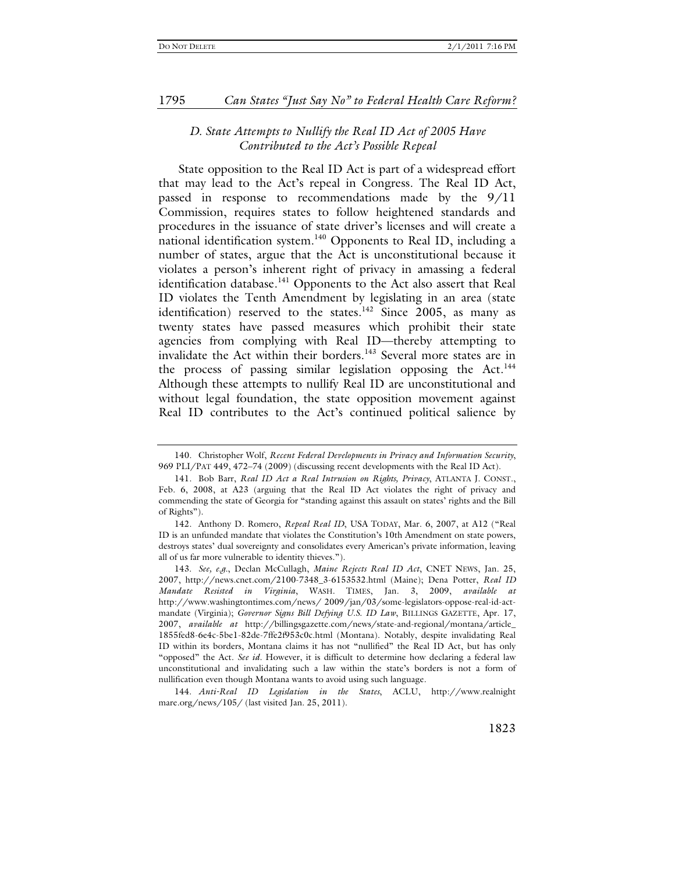# *D. State Attempts to Nullify the Real ID Act of 2005 Have Contributed to the Act's Possible Repeal*

State opposition to the Real ID Act is part of a widespread effort that may lead to the Act's repeal in Congress. The Real ID Act, passed in response to recommendations made by the 9/11 Commission, requires states to follow heightened standards and procedures in the issuance of state driver's licenses and will create a national identification system.<sup>140</sup> Opponents to Real ID, including a number of states, argue that the Act is unconstitutional because it violates a person's inherent right of privacy in amassing a federal identification database.<sup>141</sup> Opponents to the Act also assert that Real ID violates the Tenth Amendment by legislating in an area (state identification) reserved to the states.<sup>142</sup> Since 2005, as many as twenty states have passed measures which prohibit their state agencies from complying with Real ID—thereby attempting to invalidate the Act within their borders.<sup>143</sup> Several more states are in the process of passing similar legislation opposing the Act.<sup>144</sup> Although these attempts to nullify Real ID are unconstitutional and without legal foundation, the state opposition movement against Real ID contributes to the Act's continued political salience by

 <sup>140.</sup> Christopher Wolf, *Recent Federal Developments in Privacy and Information Security*, 969 PLI/PAT 449, 472–74 (2009) (discussing recent developments with the Real ID Act).

 <sup>141.</sup> Bob Barr, *Real ID Act a Real Intrusion on Rights, Privacy*, ATLANTA J. CONST., Feb. 6, 2008, at A23 (arguing that the Real ID Act violates the right of privacy and commending the state of Georgia for "standing against this assault on states' rights and the Bill of Rights").

 <sup>142.</sup> Anthony D. Romero, *Repeal Real ID*, USA TODAY, Mar. 6, 2007, at A12 ("Real ID is an unfunded mandate that violates the Constitution's 10th Amendment on state powers, destroys states' dual sovereignty and consolidates every American's private information, leaving all of us far more vulnerable to identity thieves.").

 <sup>143.</sup> *See, e.g.*, Declan McCullagh, *Maine Rejects Real ID Act*, CNET NEWS, Jan. 25, 2007, http://news.cnet.com/2100-7348\_3-6153532.html (Maine); Dena Potter, *Real ID Mandate Resisted in Virginia*, WASH. TIMES, Jan. 3, 2009, *available at* http://www.washingtontimes.com/news/ 2009/jan/03/some-legislators-oppose-real-id-actmandate (Virginia); *Governor Signs Bill Defying U.S. ID Law*, BILLINGS GAZETTE, Apr. 17, 2007, *available at* http://billingsgazette.com/news/state-and-regional/montana/article\_ 1855fed8-6e4c-5be1-82de-7ffe2f953c0c.html (Montana). Notably, despite invalidating Real ID within its borders, Montana claims it has not "nullified" the Real ID Act, but has only "opposed" the Act. *See id.* However, it is difficult to determine how declaring a federal law unconstitutional and invalidating such a law within the state's borders is not a form of nullification even though Montana wants to avoid using such language.

 <sup>144.</sup> *Anti-Real ID Legislation in the States*, ACLU, http://www.realnight mare.org/news/105/ (last visited Jan. 25, 2011).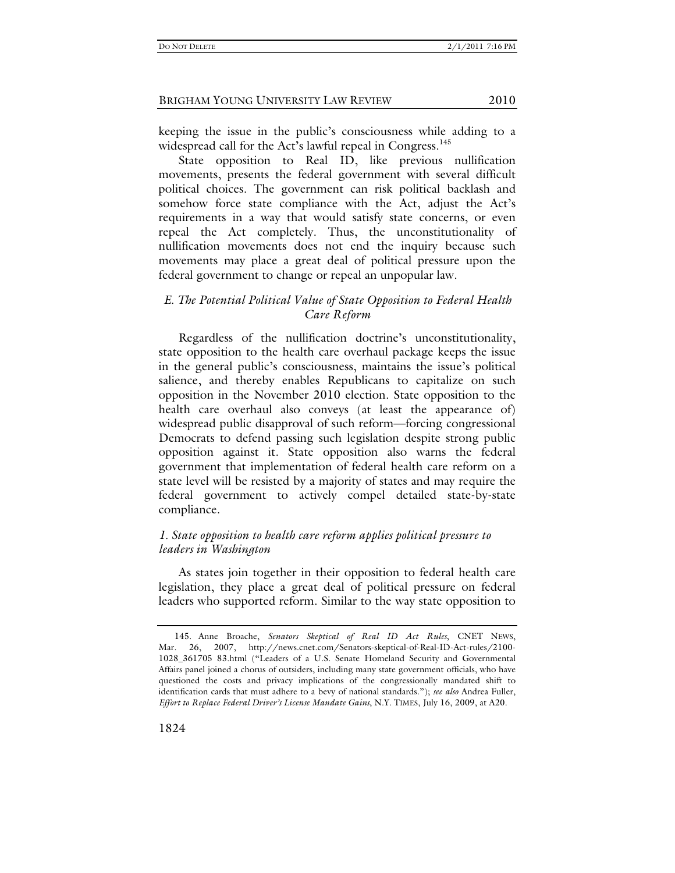keeping the issue in the public's consciousness while adding to a widespread call for the Act's lawful repeal in Congress.<sup>145</sup>

State opposition to Real ID, like previous nullification movements, presents the federal government with several difficult political choices. The government can risk political backlash and somehow force state compliance with the Act, adjust the Act's requirements in a way that would satisfy state concerns, or even repeal the Act completely. Thus, the unconstitutionality of nullification movements does not end the inquiry because such movements may place a great deal of political pressure upon the federal government to change or repeal an unpopular law.

# *E. The Potential Political Value of State Opposition to Federal Health Care Reform*

Regardless of the nullification doctrine's unconstitutionality, state opposition to the health care overhaul package keeps the issue in the general public's consciousness, maintains the issue's political salience, and thereby enables Republicans to capitalize on such opposition in the November 2010 election. State opposition to the health care overhaul also conveys (at least the appearance of) widespread public disapproval of such reform—forcing congressional Democrats to defend passing such legislation despite strong public opposition against it. State opposition also warns the federal government that implementation of federal health care reform on a state level will be resisted by a majority of states and may require the federal government to actively compel detailed state-by-state compliance.

# *1. State opposition to health care reform applies political pressure to leaders in Washington*

As states join together in their opposition to federal health care legislation, they place a great deal of political pressure on federal leaders who supported reform. Similar to the way state opposition to

 <sup>145.</sup> Anne Broache, *Senators Skeptical of Real ID Act Rules*, CNET NEWS, Mar. 26, 2007, http://news.cnet.com/Senators-skeptical-of-Real-ID-Act-rules/2100- 1028\_361705 83.html ("Leaders of a U.S. Senate Homeland Security and Governmental Affairs panel joined a chorus of outsiders, including many state government officials, who have questioned the costs and privacy implications of the congressionally mandated shift to identification cards that must adhere to a bevy of national standards."); *see also* Andrea Fuller, *Effort to Replace Federal Driver's License Mandate Gains*, N.Y. TIMES, July 16, 2009, at A20.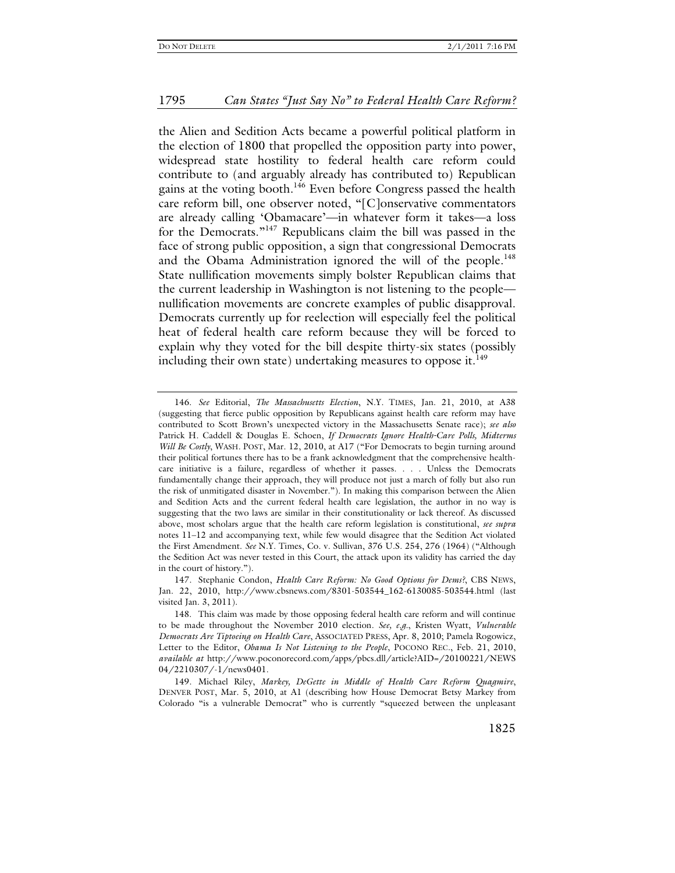the Alien and Sedition Acts became a powerful political platform in the election of 1800 that propelled the opposition party into power, widespread state hostility to federal health care reform could contribute to (and arguably already has contributed to) Republican gains at the voting booth.<sup>146</sup> Even before Congress passed the health care reform bill, one observer noted, "[C]onservative commentators are already calling 'Obamacare'—in whatever form it takes—a loss for the Democrats."147 Republicans claim the bill was passed in the face of strong public opposition, a sign that congressional Democrats and the Obama Administration ignored the will of the people.<sup>148</sup> State nullification movements simply bolster Republican claims that the current leadership in Washington is not listening to the people nullification movements are concrete examples of public disapproval. Democrats currently up for reelection will especially feel the political heat of federal health care reform because they will be forced to explain why they voted for the bill despite thirty-six states (possibly including their own state) undertaking measures to oppose it. $149$ 

 <sup>146.</sup> *See* Editorial, *The Massachusetts Election*, N.Y. TIMES, Jan. 21, 2010, at A38 (suggesting that fierce public opposition by Republicans against health care reform may have contributed to Scott Brown's unexpected victory in the Massachusetts Senate race); *see also* Patrick H. Caddell & Douglas E. Schoen, *If Democrats Ignore Health-Care Polls, Midterms Will Be Costly*, WASH. POST, Mar. 12, 2010, at A17 ("For Democrats to begin turning around their political fortunes there has to be a frank acknowledgment that the comprehensive healthcare initiative is a failure, regardless of whether it passes. . . . Unless the Democrats fundamentally change their approach, they will produce not just a march of folly but also run the risk of unmitigated disaster in November."). In making this comparison between the Alien and Sedition Acts and the current federal health care legislation, the author in no way is suggesting that the two laws are similar in their constitutionality or lack thereof. As discussed above, most scholars argue that the health care reform legislation is constitutional, *see supra* notes 11–12 and accompanying text, while few would disagree that the Sedition Act violated the First Amendment. *See* N.Y. Times, Co. v. Sullivan, 376 U.S. 254, 276 (1964) ("Although the Sedition Act was never tested in this Court, the attack upon its validity has carried the day in the court of history.").

 <sup>147.</sup> Stephanie Condon, *Health Care Reform: No Good Options for Dems?*, CBS NEWS, Jan. 22, 2010, http://www.cbsnews.com/8301-503544\_162-6130085-503544.html (last visited Jan. 3, 2011).

 <sup>148.</sup> This claim was made by those opposing federal health care reform and will continue to be made throughout the November 2010 election. *See, e.g.*, Kristen Wyatt, *Vulnerable Democrats Are Tiptoeing on Health Care*, ASSOCIATED PRESS, Apr. 8, 2010; Pamela Rogowicz, Letter to the Editor, *Obama Is Not Listening to the People*, POCONO REC., Feb. 21, 2010, *available at* http://www.poconorecord.com/apps/pbcs.dll/article?AID=/20100221/NEWS 04/2210307/-1/news0401.

 <sup>149.</sup> Michael Riley, *Markey, DeGette in Middle of Health Care Reform Quagmire*, DENVER POST, Mar. 5, 2010, at A1 (describing how House Democrat Betsy Markey from Colorado "is a vulnerable Democrat" who is currently "squeezed between the unpleasant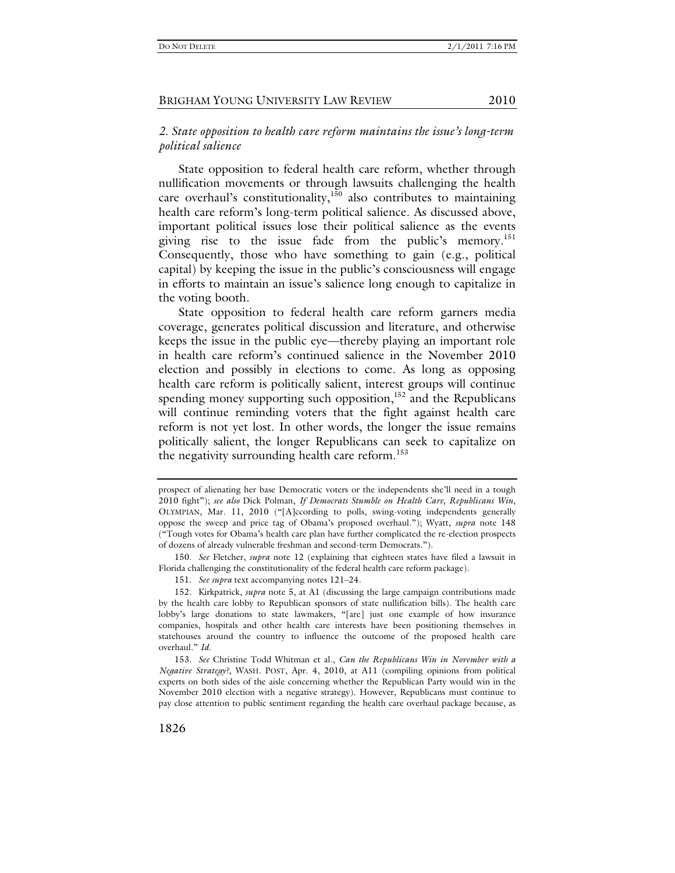# *2. State opposition to health care reform maintains the issue's long-term political salience*

State opposition to federal health care reform, whether through nullification movements or through lawsuits challenging the health care overhaul's constitutionality,<sup>150</sup> also contributes to maintaining health care reform's long-term political salience. As discussed above, important political issues lose their political salience as the events giving rise to the issue fade from the public's memory.<sup>151</sup> Consequently, those who have something to gain (e.g., political capital) by keeping the issue in the public's consciousness will engage in efforts to maintain an issue's salience long enough to capitalize in the voting booth.

State opposition to federal health care reform garners media coverage, generates political discussion and literature, and otherwise keeps the issue in the public eye—thereby playing an important role in health care reform's continued salience in the November 2010 election and possibly in elections to come. As long as opposing health care reform is politically salient, interest groups will continue spending money supporting such opposition, $152$  and the Republicans will continue reminding voters that the fight against health care reform is not yet lost. In other words, the longer the issue remains politically salient, the longer Republicans can seek to capitalize on the negativity surrounding health care reform.<sup>153</sup>

prospect of alienating her base Democratic voters or the independents she'll need in a tough 2010 fight"); *see also* Dick Polman, *If Democrats Stumble on Health Care, Republicans Win*, OLYMPIAN, Mar. 11, 2010 ("[A]ccording to polls, swing-voting independents generally oppose the sweep and price tag of Obama's proposed overhaul."); Wyatt, *supra* note 148 ("Tough votes for Obama's health care plan have further complicated the re-election prospects of dozens of already vulnerable freshman and second-term Democrats.").

 <sup>150.</sup> *See* Fletcher, *supra* note 12 (explaining that eighteen states have filed a lawsuit in Florida challenging the constitutionality of the federal health care reform package).

 <sup>151.</sup> *See supra* text accompanying notes 121–24.

 <sup>152.</sup> Kirkpatrick, *supra* note 5, at A1 (discussing the large campaign contributions made by the health care lobby to Republican sponsors of state nullification bills). The health care lobby's large donations to state lawmakers, "[are] just one example of how insurance companies, hospitals and other health care interests have been positioning themselves in statehouses around the country to influence the outcome of the proposed health care overhaul." *Id.*

 <sup>153.</sup> *See* Christine Todd Whitman et al., *Can the Republicans Win in November with a Negative Strategy?*, WASH. POST, Apr. 4, 2010, at A11 (compiling opinions from political experts on both sides of the aisle concerning whether the Republican Party would win in the November 2010 election with a negative strategy). However, Republicans must continue to pay close attention to public sentiment regarding the health care overhaul package because, as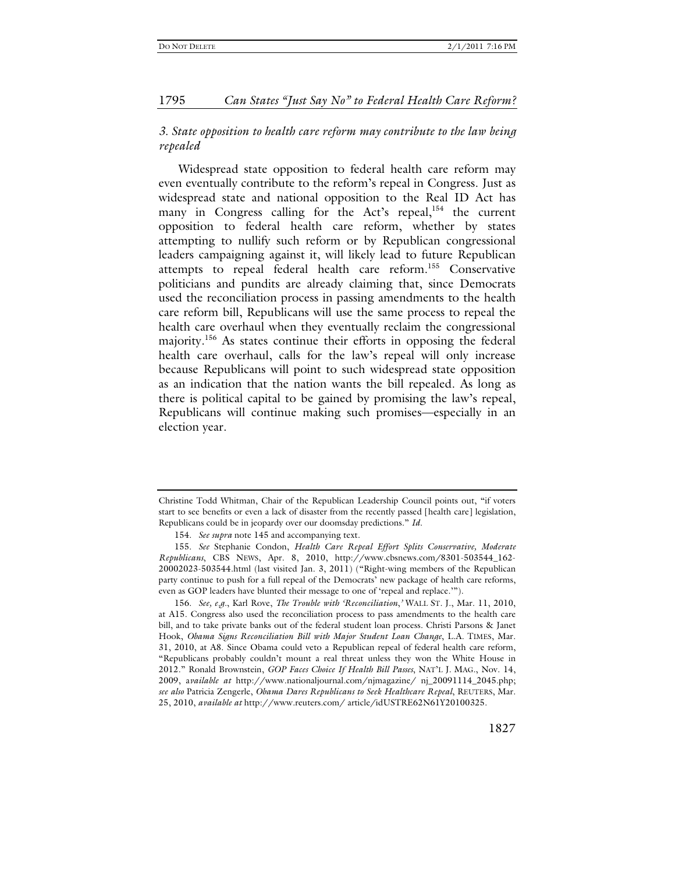# *3. State opposition to health care reform may contribute to the law being repealed*

Widespread state opposition to federal health care reform may even eventually contribute to the reform's repeal in Congress. Just as widespread state and national opposition to the Real ID Act has many in Congress calling for the Act's repeal, $154$  the current opposition to federal health care reform, whether by states attempting to nullify such reform or by Republican congressional leaders campaigning against it, will likely lead to future Republican attempts to repeal federal health care reform.155 Conservative politicians and pundits are already claiming that, since Democrats used the reconciliation process in passing amendments to the health care reform bill, Republicans will use the same process to repeal the health care overhaul when they eventually reclaim the congressional majority.<sup>156</sup> As states continue their efforts in opposing the federal health care overhaul, calls for the law's repeal will only increase because Republicans will point to such widespread state opposition as an indication that the nation wants the bill repealed. As long as there is political capital to be gained by promising the law's repeal, Republicans will continue making such promises—especially in an election year.

 156. *See, e.g.*, Karl Rove, *The Trouble with 'Reconciliation*,*'* WALL ST. J., Mar. 11, 2010, at A15. Congress also used the reconciliation process to pass amendments to the health care bill, and to take private banks out of the federal student loan process. Christi Parsons & Janet Hook, *Obama Signs Reconciliation Bill with Major Student Loan Change*, L.A. TIMES, Mar. 31, 2010, at A8. Since Obama could veto a Republican repeal of federal health care reform, "Republicans probably couldn't mount a real threat unless they won the White House in 2012." Ronald Brownstein, *GOP Faces Choice If Health Bill Passes*, NAT'L J. MAG., Nov. 14, 2009, a*vailable at* http://www.nationaljournal.com/njmagazine/ nj\_20091114\_2045.php; *see also* Patricia Zengerle, *Obama Dares Republicans to Seek Healthcare Repeal*, REUTERS, Mar. 25, 2010, *available at* http://www.reuters.com/ article/idUSTRE62N61Y20100325.

Christine Todd Whitman, Chair of the Republican Leadership Council points out, "if voters start to see benefits or even a lack of disaster from the recently passed [health care] legislation, Republicans could be in jeopardy over our doomsday predictions." *Id.*

 <sup>154.</sup> *See supra* note 145 and accompanying text.

 <sup>155.</sup> *See* Stephanie Condon, *Health Care Repeal Effort Splits Conservative, Moderate Republicans*, CBS NEWS, Apr. 8, 2010, http://www.cbsnews.com/8301-503544\_162- 20002023-503544.html (last visited Jan. 3, 2011) ("Right-wing members of the Republican party continue to push for a full repeal of the Democrats' new package of health care reforms, even as GOP leaders have blunted their message to one of 'repeal and replace.'").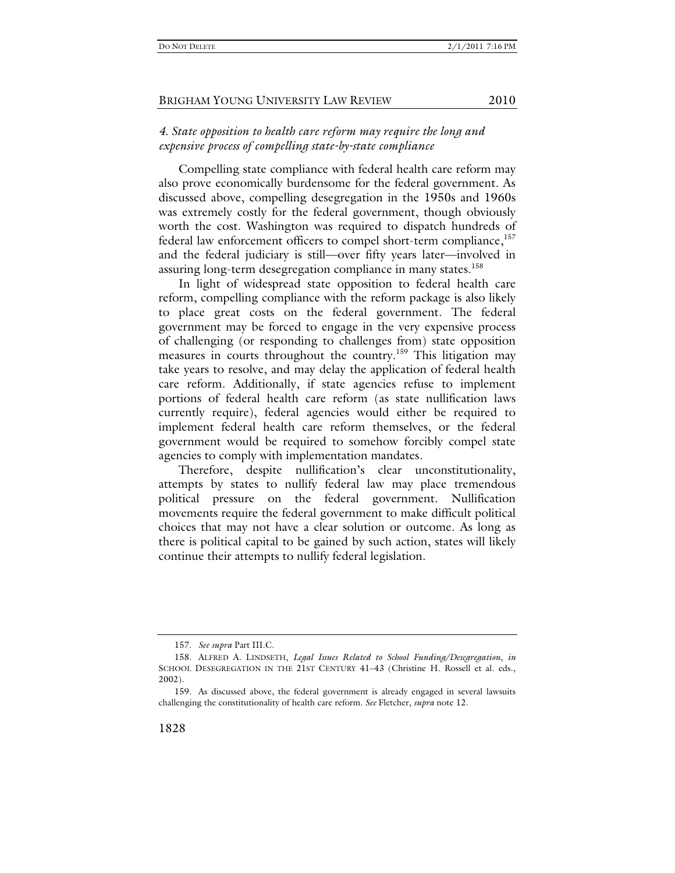# *4. State opposition to health care reform may require the long and expensive process of compelling state-by-state compliance*

Compelling state compliance with federal health care reform may also prove economically burdensome for the federal government. As discussed above, compelling desegregation in the 1950s and 1960s was extremely costly for the federal government, though obviously worth the cost. Washington was required to dispatch hundreds of federal law enforcement officers to compel short-term compliance,<sup>157</sup> and the federal judiciary is still—over fifty years later—involved in assuring long-term desegregation compliance in many states.<sup>158</sup>

In light of widespread state opposition to federal health care reform, compelling compliance with the reform package is also likely to place great costs on the federal government. The federal government may be forced to engage in the very expensive process of challenging (or responding to challenges from) state opposition measures in courts throughout the country.<sup>159</sup> This litigation may take years to resolve, and may delay the application of federal health care reform. Additionally, if state agencies refuse to implement portions of federal health care reform (as state nullification laws currently require), federal agencies would either be required to implement federal health care reform themselves, or the federal government would be required to somehow forcibly compel state agencies to comply with implementation mandates.

Therefore, despite nullification's clear unconstitutionality, attempts by states to nullify federal law may place tremendous political pressure on the federal government. Nullification movements require the federal government to make difficult political choices that may not have a clear solution or outcome. As long as there is political capital to be gained by such action, states will likely continue their attempts to nullify federal legislation.

 <sup>157.</sup> *See supra* Part III.C.

 <sup>158.</sup> ALFRED A. LINDSETH, *Legal Issues Related to School Funding/Desegregation*, *in* SCHOOL DESEGREGATION IN THE 21ST CENTURY 41–43 (Christine H. Rossell et al. eds., 2002).

 <sup>159.</sup> As discussed above, the federal government is already engaged in several lawsuits challenging the constitutionality of health care reform. *See* Fletcher, *supra* note 12.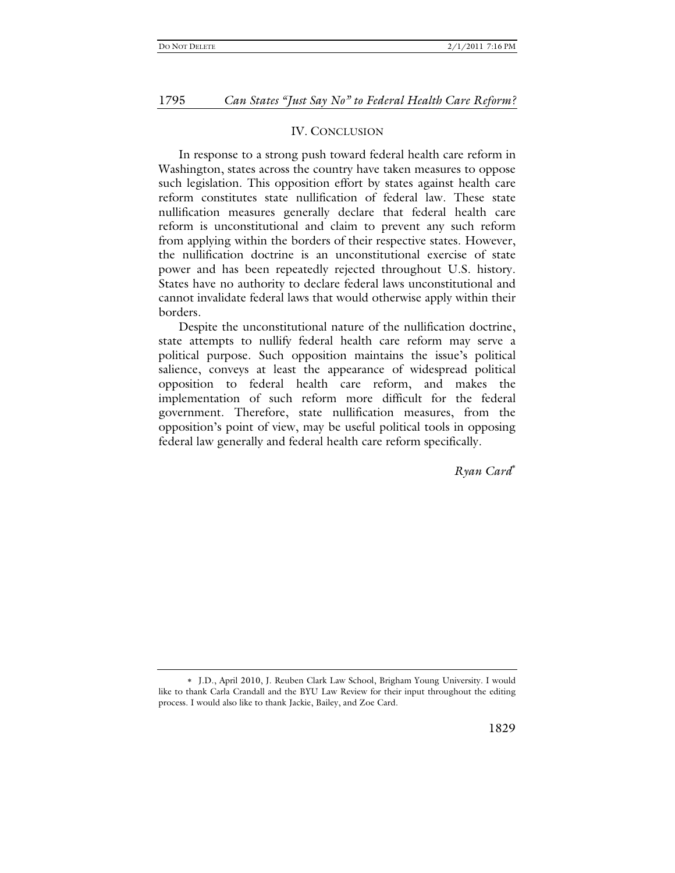#### IV. CONCLUSION

In response to a strong push toward federal health care reform in Washington, states across the country have taken measures to oppose such legislation. This opposition effort by states against health care reform constitutes state nullification of federal law. These state nullification measures generally declare that federal health care reform is unconstitutional and claim to prevent any such reform from applying within the borders of their respective states. However, the nullification doctrine is an unconstitutional exercise of state power and has been repeatedly rejected throughout U.S. history. States have no authority to declare federal laws unconstitutional and cannot invalidate federal laws that would otherwise apply within their borders.

Despite the unconstitutional nature of the nullification doctrine, state attempts to nullify federal health care reform may serve a political purpose. Such opposition maintains the issue's political salience, conveys at least the appearance of widespread political opposition to federal health care reform, and makes the implementation of such reform more difficult for the federal government. Therefore, state nullification measures, from the opposition's point of view, may be useful political tools in opposing federal law generally and federal health care reform specifically.

*Ryan Card*

J.D., April 2010, J. Reuben Clark Law School, Brigham Young University. I would like to thank Carla Crandall and the BYU Law Review for their input throughout the editing process. I would also like to thank Jackie, Bailey, and Zoe Card.